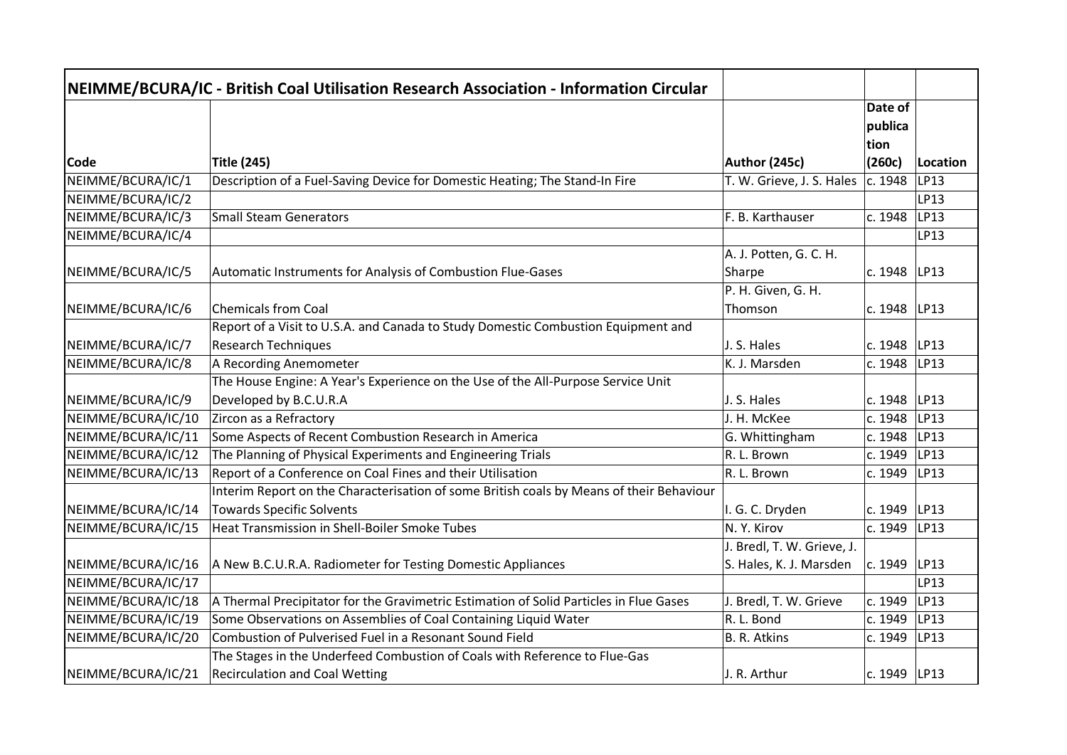|                           | NEIMME/BCURA/IC - British Coal Utilisation Research Association - Information Circular   |                                            |                   |                  |
|---------------------------|------------------------------------------------------------------------------------------|--------------------------------------------|-------------------|------------------|
|                           |                                                                                          |                                            | Date of           |                  |
|                           |                                                                                          |                                            | publica           |                  |
|                           |                                                                                          |                                            | tion              |                  |
| Code<br>NEIMME/BCURA/IC/1 | <b>Title (245)</b>                                                                       | Author (245c)<br>T. W. Grieve, J. S. Hales | (260c)<br>c. 1948 | Location<br>LP13 |
|                           | Description of a Fuel-Saving Device for Domestic Heating; The Stand-In Fire              |                                            |                   | LP13             |
| NEIMME/BCURA/IC/2         | <b>Small Steam Generators</b>                                                            |                                            |                   | LP13             |
| NEIMME/BCURA/IC/3         |                                                                                          | F. B. Karthauser                           | c. 1948           |                  |
| NEIMME/BCURA/IC/4         |                                                                                          |                                            |                   | LP13             |
|                           |                                                                                          | A. J. Potten, G. C. H.                     |                   |                  |
| NEIMME/BCURA/IC/5         | Automatic Instruments for Analysis of Combustion Flue-Gases                              | Sharpe                                     | c. 1948           | LP13             |
|                           |                                                                                          | P. H. Given, G. H.                         |                   |                  |
| NEIMME/BCURA/IC/6         | <b>Chemicals from Coal</b>                                                               | Thomson                                    | c. 1948           | LP13             |
|                           | Report of a Visit to U.S.A. and Canada to Study Domestic Combustion Equipment and        |                                            |                   |                  |
| NEIMME/BCURA/IC/7         | <b>Research Techniques</b>                                                               | J. S. Hales                                | c. 1948           | LP13             |
| NEIMME/BCURA/IC/8         | A Recording Anemometer                                                                   | K. J. Marsden                              | c. 1948           | LP13             |
|                           | The House Engine: A Year's Experience on the Use of the All-Purpose Service Unit         |                                            |                   |                  |
| NEIMME/BCURA/IC/9         | Developed by B.C.U.R.A                                                                   | J. S. Hales                                | c. 1948           | LP13             |
| NEIMME/BCURA/IC/10        | Zircon as a Refractory                                                                   | J. H. McKee                                | c. 1948           | LP13             |
| NEIMME/BCURA/IC/11        | Some Aspects of Recent Combustion Research in America                                    | G. Whittingham                             | c. 1948           | LP13             |
| NEIMME/BCURA/IC/12        | The Planning of Physical Experiments and Engineering Trials                              | R. L. Brown                                | c. 1949           | LP13             |
| NEIMME/BCURA/IC/13        | Report of a Conference on Coal Fines and their Utilisation                               | R. L. Brown                                | c. 1949           | LP13             |
|                           | Interim Report on the Characterisation of some British coals by Means of their Behaviour |                                            |                   |                  |
| NEIMME/BCURA/IC/14        | <b>Towards Specific Solvents</b>                                                         | I. G. C. Dryden                            | c. 1949           | LP13             |
| NEIMME/BCURA/IC/15        | <b>Heat Transmission in Shell-Boiler Smoke Tubes</b>                                     | N.Y. Kirov                                 | c. 1949           | LP13             |
|                           |                                                                                          | J. Bredl, T. W. Grieve, J.                 |                   |                  |
| NEIMME/BCURA/IC/16        | A New B.C.U.R.A. Radiometer for Testing Domestic Appliances                              | S. Hales, K. J. Marsden                    | c. 1949           | LP13             |
| NEIMME/BCURA/IC/17        |                                                                                          |                                            |                   | LP13             |
| NEIMME/BCURA/IC/18        | A Thermal Precipitator for the Gravimetric Estimation of Solid Particles in Flue Gases   | J. Bredl, T. W. Grieve                     | c. 1949           | LP13             |
| NEIMME/BCURA/IC/19        | Some Observations on Assemblies of Coal Containing Liquid Water                          | R. L. Bond                                 | c. 1949           | LP13             |
| NEIMME/BCURA/IC/20        | Combustion of Pulverised Fuel in a Resonant Sound Field                                  | B. R. Atkins                               | c. 1949           | LP13             |
|                           | The Stages in the Underfeed Combustion of Coals with Reference to Flue-Gas               |                                            |                   |                  |
| NEIMME/BCURA/IC/21        | <b>Recirculation and Coal Wetting</b>                                                    | J. R. Arthur                               | c. 1949 $ LP13$   |                  |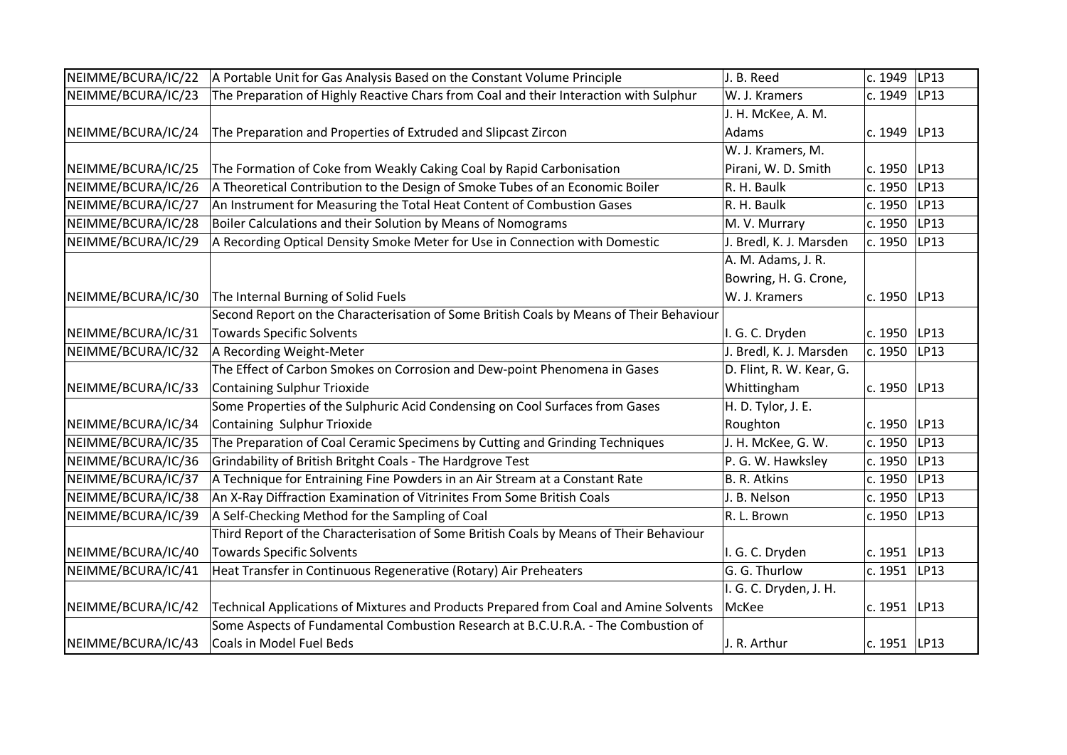| NEIMME/BCURA/IC/22 | A Portable Unit for Gas Analysis Based on the Constant Volume Principle                 | J. B. Reed               | c. 1949        | LP13 |
|--------------------|-----------------------------------------------------------------------------------------|--------------------------|----------------|------|
| NEIMME/BCURA/IC/23 | The Preparation of Highly Reactive Chars from Coal and their Interaction with Sulphur   | W. J. Kramers            | c. 1949        | LP13 |
|                    |                                                                                         | J. H. McKee, A. M.       |                |      |
| NEIMME/BCURA/IC/24 | The Preparation and Properties of Extruded and Slipcast Zircon                          | Adams                    | c. 1949        | LP13 |
|                    |                                                                                         | W. J. Kramers, M.        |                |      |
| NEIMME/BCURA/IC/25 | The Formation of Coke from Weakly Caking Coal by Rapid Carbonisation                    | Pirani, W. D. Smith      | c. 1950        | LP13 |
| NEIMME/BCURA/IC/26 | A Theoretical Contribution to the Design of Smoke Tubes of an Economic Boiler           | R. H. Baulk              | c. 1950        | LP13 |
| NEIMME/BCURA/IC/27 | An Instrument for Measuring the Total Heat Content of Combustion Gases                  | R. H. Baulk              | c. 1950        | LP13 |
| NEIMME/BCURA/IC/28 | Boiler Calculations and their Solution by Means of Nomograms                            | M. V. Murrary            | c. 1950        | LP13 |
| NEIMME/BCURA/IC/29 | A Recording Optical Density Smoke Meter for Use in Connection with Domestic             | J. Bredl, K. J. Marsden  | c. 1950        | LP13 |
|                    |                                                                                         | A. M. Adams, J. R.       |                |      |
|                    |                                                                                         | Bowring, H. G. Crone,    |                |      |
| NEIMME/BCURA/IC/30 | The Internal Burning of Solid Fuels                                                     | W. J. Kramers            | c. 1950   LP13 |      |
|                    | Second Report on the Characterisation of Some British Coals by Means of Their Behaviour |                          |                |      |
| NEIMME/BCURA/IC/31 | <b>Towards Specific Solvents</b>                                                        | I. G. C. Dryden          | c. 1950        | LP13 |
| NEIMME/BCURA/IC/32 | A Recording Weight-Meter                                                                | J. Bredl, K. J. Marsden  | c. 1950        | LP13 |
|                    | The Effect of Carbon Smokes on Corrosion and Dew-point Phenomena in Gases               | D. Flint, R. W. Kear, G. |                |      |
| NEIMME/BCURA/IC/33 | <b>Containing Sulphur Trioxide</b>                                                      | Whittingham              | c. 1950 LP13   |      |
|                    | Some Properties of the Sulphuric Acid Condensing on Cool Surfaces from Gases            | H. D. Tylor, J. E.       |                |      |
| NEIMME/BCURA/IC/34 | Containing Sulphur Trioxide                                                             | Roughton                 | c. 1950        | LP13 |
| NEIMME/BCURA/IC/35 | The Preparation of Coal Ceramic Specimens by Cutting and Grinding Techniques            | J. H. McKee, G. W.       | c. 1950        | LP13 |
| NEIMME/BCURA/IC/36 | Grindability of British Britght Coals - The Hardgrove Test                              | P. G. W. Hawksley        | c. 1950        | LP13 |
| NEIMME/BCURA/IC/37 | A Technique for Entraining Fine Powders in an Air Stream at a Constant Rate             | <b>B. R. Atkins</b>      | c. 1950        | LP13 |
| NEIMME/BCURA/IC/38 | An X-Ray Diffraction Examination of Vitrinites From Some British Coals                  | J. B. Nelson             | c. 1950        | LP13 |
| NEIMME/BCURA/IC/39 | A Self-Checking Method for the Sampling of Coal                                         | R. L. Brown              | c. 1950        | LP13 |
|                    | Third Report of the Characterisation of Some British Coals by Means of Their Behaviour  |                          |                |      |
| NEIMME/BCURA/IC/40 | <b>Towards Specific Solvents</b>                                                        | I. G. C. Dryden          | c. 1951   LP13 |      |
| NEIMME/BCURA/IC/41 | Heat Transfer in Continuous Regenerative (Rotary) Air Preheaters                        | G. G. Thurlow            | c. 1951        | LP13 |
|                    |                                                                                         | I. G. C. Dryden, J. H.   |                |      |
| NEIMME/BCURA/IC/42 | Technical Applications of Mixtures and Products Prepared from Coal and Amine Solvents   | McKee                    | c. $1951$ LP13 |      |
|                    | Some Aspects of Fundamental Combustion Research at B.C.U.R.A. - The Combustion of       |                          |                |      |
| NEIMME/BCURA/IC/43 | Coals in Model Fuel Beds                                                                | J. R. Arthur             | c. 1951 LP13   |      |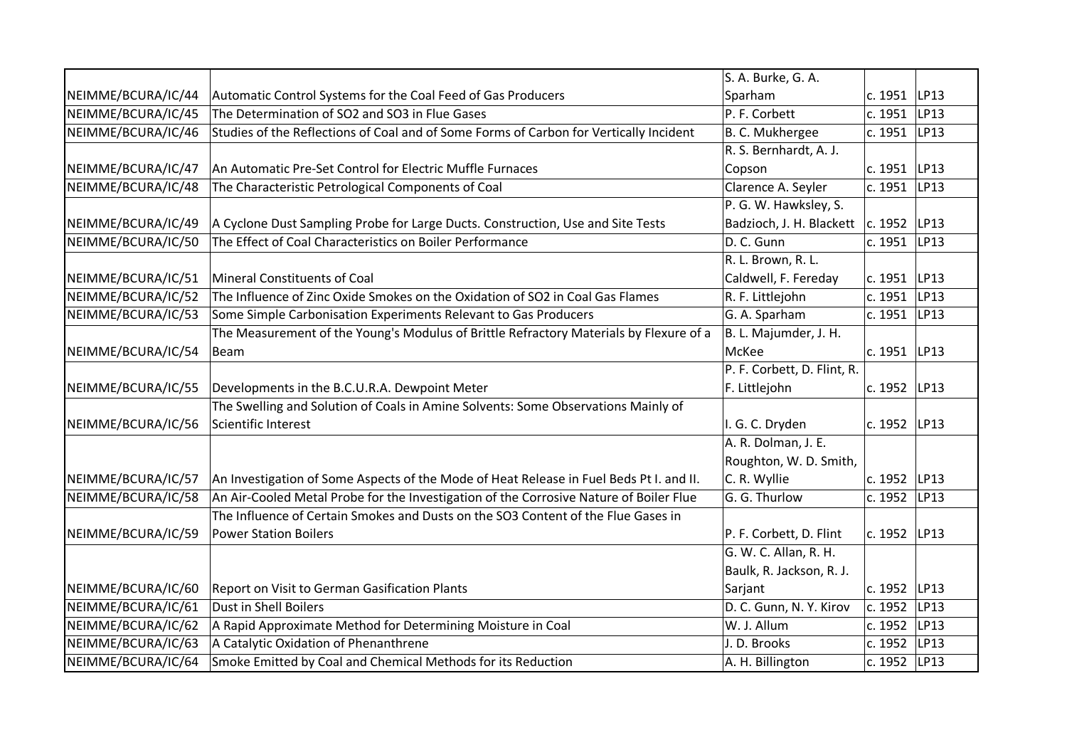|                    |                                                                                         | S. A. Burke, G. A.          |                  |      |
|--------------------|-----------------------------------------------------------------------------------------|-----------------------------|------------------|------|
| NEIMME/BCURA/IC/44 | Automatic Control Systems for the Coal Feed of Gas Producers                            | Sparham                     | c. 1951   LP13   |      |
| NEIMME/BCURA/IC/45 | The Determination of SO2 and SO3 in Flue Gases                                          | P. F. Corbett               | c. 1951          | LP13 |
| NEIMME/BCURA/IC/46 | Studies of the Reflections of Coal and of Some Forms of Carbon for Vertically Incident  | B. C. Mukhergee             | c. 1951          | LP13 |
|                    |                                                                                         | R. S. Bernhardt, A. J.      |                  |      |
| NEIMME/BCURA/IC/47 | An Automatic Pre-Set Control for Electric Muffle Furnaces                               | Copson                      | c. 1951          | LP13 |
| NEIMME/BCURA/IC/48 | The Characteristic Petrological Components of Coal                                      | Clarence A. Seyler          | c. 1951          | LP13 |
|                    |                                                                                         | P. G. W. Hawksley, S.       |                  |      |
| NEIMME/BCURA/IC/49 | A Cyclone Dust Sampling Probe for Large Ducts. Construction, Use and Site Tests         | Badzioch, J. H. Blackett    | c. 1952 LP13     |      |
| NEIMME/BCURA/IC/50 | The Effect of Coal Characteristics on Boiler Performance                                | D. C. Gunn                  | c. 1951          | LP13 |
|                    |                                                                                         | R. L. Brown, R. L.          |                  |      |
| NEIMME/BCURA/IC/51 | <b>Mineral Constituents of Coal</b>                                                     | Caldwell, F. Fereday        | c. 1951   LP13   |      |
| NEIMME/BCURA/IC/52 | The Influence of Zinc Oxide Smokes on the Oxidation of SO2 in Coal Gas Flames           | R. F. Littlejohn            | c. 1951          | LP13 |
| NEIMME/BCURA/IC/53 | Some Simple Carbonisation Experiments Relevant to Gas Producers                         | G. A. Sparham               | c. 1951          | LP13 |
|                    | The Measurement of the Young's Modulus of Brittle Refractory Materials by Flexure of a  | B. L. Majumder, J. H.       |                  |      |
| NEIMME/BCURA/IC/54 | Beam                                                                                    | McKee                       | c. 1951 $ LP13 $ |      |
|                    |                                                                                         | P. F. Corbett, D. Flint, R. |                  |      |
| NEIMME/BCURA/IC/55 | Developments in the B.C.U.R.A. Dewpoint Meter                                           | F. Littlejohn               | c. 1952 LP13     |      |
|                    | The Swelling and Solution of Coals in Amine Solvents: Some Observations Mainly of       |                             |                  |      |
| NEIMME/BCURA/IC/56 | Scientific Interest                                                                     | I. G. C. Dryden             | c. 1952 LP13     |      |
|                    |                                                                                         | A. R. Dolman, J. E.         |                  |      |
|                    |                                                                                         | Roughton, W. D. Smith,      |                  |      |
| NEIMME/BCURA/IC/57 | An Investigation of Some Aspects of the Mode of Heat Release in Fuel Beds Pt I. and II. | C. R. Wyllie                | c. 1952 LP13     |      |
| NEIMME/BCURA/IC/58 | An Air-Cooled Metal Probe for the Investigation of the Corrosive Nature of Boiler Flue  | G. G. Thurlow               | c. 1952          | LP13 |
|                    | The Influence of Certain Smokes and Dusts on the SO3 Content of the Flue Gases in       |                             |                  |      |
| NEIMME/BCURA/IC/59 | <b>Power Station Boilers</b>                                                            | P. F. Corbett, D. Flint     | c. 1952          | LP13 |
|                    |                                                                                         | G. W. C. Allan, R. H.       |                  |      |
|                    |                                                                                         | Baulk, R. Jackson, R. J.    |                  |      |
| NEIMME/BCURA/IC/60 | Report on Visit to German Gasification Plants                                           | Sarjant                     | c. 1952   LP13   |      |
| NEIMME/BCURA/IC/61 | Dust in Shell Boilers                                                                   | D. C. Gunn, N. Y. Kirov     | c. 1952          | LP13 |
| NEIMME/BCURA/IC/62 | A Rapid Approximate Method for Determining Moisture in Coal                             | W. J. Allum                 | c. 1952          | LP13 |
| NEIMME/BCURA/IC/63 | A Catalytic Oxidation of Phenanthrene                                                   | J. D. Brooks                | c. 1952 LP13     |      |
| NEIMME/BCURA/IC/64 | Smoke Emitted by Coal and Chemical Methods for its Reduction                            | A. H. Billington            | c. 1952   LP13   |      |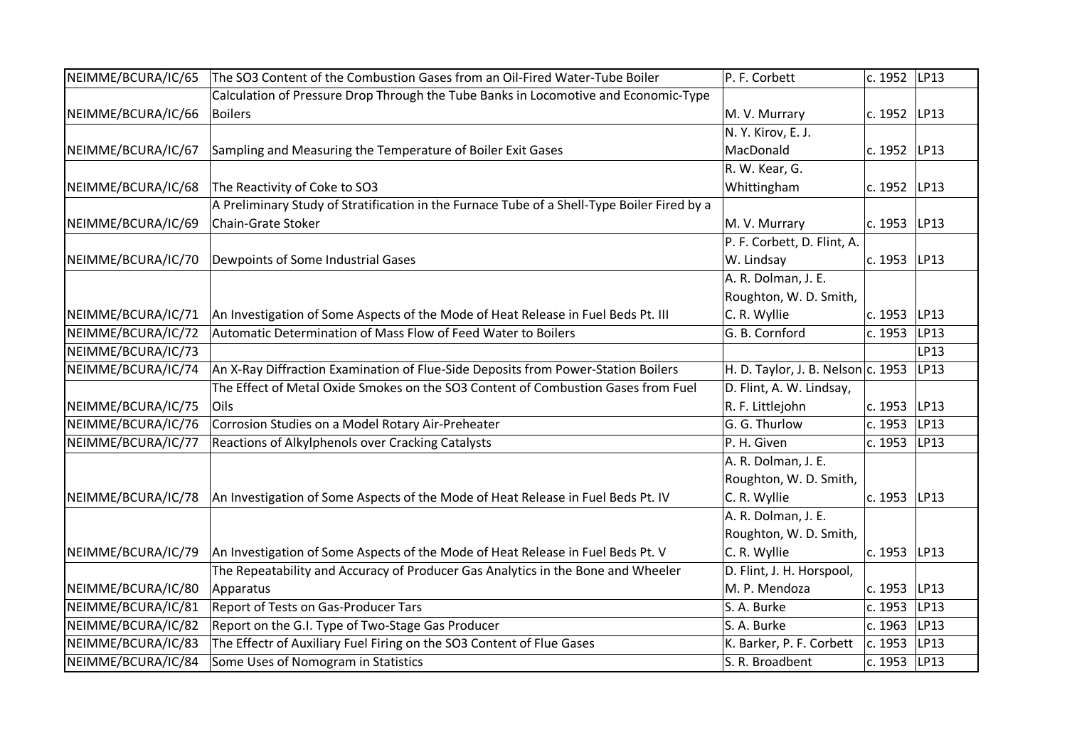| NEIMME/BCURA/IC/65 | The SO3 Content of the Combustion Gases from an Oil-Fired Water-Tube Boiler                 | P. F. Corbett                      | c. 1952 LP13 |      |
|--------------------|---------------------------------------------------------------------------------------------|------------------------------------|--------------|------|
|                    | Calculation of Pressure Drop Through the Tube Banks in Locomotive and Economic-Type         |                                    |              |      |
| NEIMME/BCURA/IC/66 | <b>Boilers</b>                                                                              | M. V. Murrary                      | c. 1952 LP13 |      |
|                    |                                                                                             | N.Y. Kirov, E.J.                   |              |      |
| NEIMME/BCURA/IC/67 | Sampling and Measuring the Temperature of Boiler Exit Gases                                 | MacDonald                          | c. 1952 LP13 |      |
|                    |                                                                                             | R. W. Kear, G.                     |              |      |
| NEIMME/BCURA/IC/68 | The Reactivity of Coke to SO3                                                               | Whittingham                        | c. 1952 LP13 |      |
|                    | A Preliminary Study of Stratification in the Furnace Tube of a Shell-Type Boiler Fired by a |                                    |              |      |
| NEIMME/BCURA/IC/69 | Chain-Grate Stoker                                                                          | M. V. Murrary                      | c. 1953 LP13 |      |
|                    |                                                                                             | P. F. Corbett, D. Flint, A.        |              |      |
| NEIMME/BCURA/IC/70 | Dewpoints of Some Industrial Gases                                                          | W. Lindsay                         | c. 1953      | LP13 |
|                    |                                                                                             | A. R. Dolman, J. E.                |              |      |
|                    |                                                                                             | Roughton, W. D. Smith,             |              |      |
| NEIMME/BCURA/IC/71 | An Investigation of Some Aspects of the Mode of Heat Release in Fuel Beds Pt. III           | C. R. Wyllie                       | c. 1953      | LP13 |
| NEIMME/BCURA/IC/72 | Automatic Determination of Mass Flow of Feed Water to Boilers                               | G. B. Cornford                     | c. 1953      | LP13 |
| NEIMME/BCURA/IC/73 |                                                                                             |                                    |              | LP13 |
| NEIMME/BCURA/IC/74 | An X-Ray Diffraction Examination of Flue-Side Deposits from Power-Station Boilers           | H. D. Taylor, J. B. Nelson c. 1953 |              | LP13 |
|                    | The Effect of Metal Oxide Smokes on the SO3 Content of Combustion Gases from Fuel           | D. Flint, A. W. Lindsay,           |              |      |
| NEIMME/BCURA/IC/75 | Oils                                                                                        | R. F. Littlejohn                   | c. 1953      | LP13 |
| NEIMME/BCURA/IC/76 | Corrosion Studies on a Model Rotary Air-Preheater                                           | G. G. Thurlow                      | c. 1953      | LP13 |
| NEIMME/BCURA/IC/77 | Reactions of Alkylphenols over Cracking Catalysts                                           | P. H. Given                        | c. 1953      | LP13 |
|                    |                                                                                             | A. R. Dolman, J. E.                |              |      |
|                    |                                                                                             | Roughton, W. D. Smith,             |              |      |
| NEIMME/BCURA/IC/78 | An Investigation of Some Aspects of the Mode of Heat Release in Fuel Beds Pt. IV            | C. R. Wyllie                       | c. 1953      | LP13 |
|                    |                                                                                             | A. R. Dolman, J. E.                |              |      |
|                    |                                                                                             | Roughton, W. D. Smith,             |              |      |
| NEIMME/BCURA/IC/79 | An Investigation of Some Aspects of the Mode of Heat Release in Fuel Beds Pt. V             | C. R. Wyllie                       | c. 1953      | LP13 |
|                    | The Repeatability and Accuracy of Producer Gas Analytics in the Bone and Wheeler            | D. Flint, J. H. Horspool,          |              |      |
| NEIMME/BCURA/IC/80 | Apparatus                                                                                   | M. P. Mendoza                      | c. 1953      | LP13 |
| NEIMME/BCURA/IC/81 | Report of Tests on Gas-Producer Tars                                                        | S. A. Burke                        | c. 1953      | LP13 |
| NEIMME/BCURA/IC/82 | Report on the G.I. Type of Two-Stage Gas Producer                                           | S. A. Burke                        | c. 1963      | LP13 |
| NEIMME/BCURA/IC/83 | The Effectr of Auxiliary Fuel Firing on the SO3 Content of Flue Gases                       | K. Barker, P. F. Corbett           | c. 1953      | LP13 |
| NEIMME/BCURA/IC/84 | Some Uses of Nomogram in Statistics                                                         | S. R. Broadbent                    | c. 1953 LP13 |      |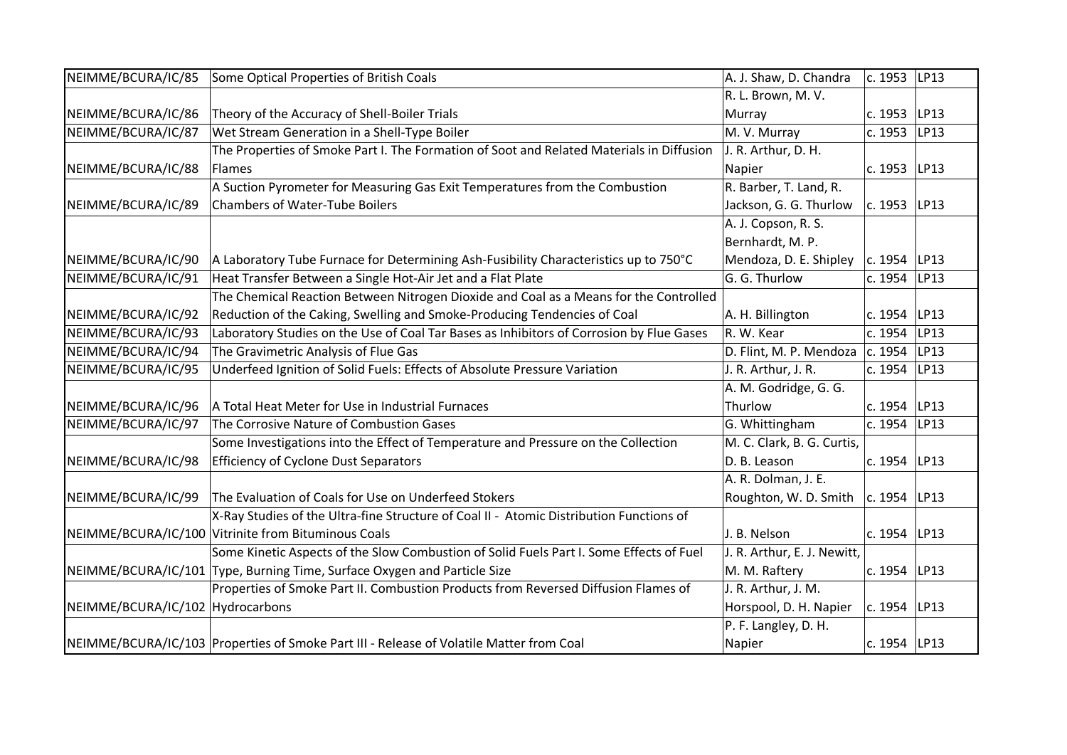| NEIMME/BCURA/IC/85               | Some Optical Properties of British Coals                                                 | A. J. Shaw, D. Chandra      | c. 1953  LP13    |      |
|----------------------------------|------------------------------------------------------------------------------------------|-----------------------------|------------------|------|
|                                  |                                                                                          | R. L. Brown, M. V.          |                  |      |
| NEIMME/BCURA/IC/86               | Theory of the Accuracy of Shell-Boiler Trials                                            | Murray                      | c. 1953          | LP13 |
| NEIMME/BCURA/IC/87               | Wet Stream Generation in a Shell-Type Boiler                                             | M. V. Murray                | c. 1953          | LP13 |
|                                  | The Properties of Smoke Part I. The Formation of Soot and Related Materials in Diffusion | J. R. Arthur, D. H.         |                  |      |
| NEIMME/BCURA/IC/88               | Flames                                                                                   | Napier                      | c. 1953          | LP13 |
|                                  | A Suction Pyrometer for Measuring Gas Exit Temperatures from the Combustion              | R. Barber, T. Land, R.      |                  |      |
| NEIMME/BCURA/IC/89               | <b>Chambers of Water-Tube Boilers</b>                                                    | Jackson, G. G. Thurlow      | c. 1953 LP13     |      |
|                                  |                                                                                          | A. J. Copson, R. S.         |                  |      |
|                                  |                                                                                          | Bernhardt, M. P.            |                  |      |
| NEIMME/BCURA/IC/90               | A Laboratory Tube Furnace for Determining Ash-Fusibility Characteristics up to 750°C     | Mendoza, D. E. Shipley      | $ c. 1954 $ LP13 |      |
| NEIMME/BCURA/IC/91               | Heat Transfer Between a Single Hot-Air Jet and a Flat Plate                              | G. G. Thurlow               | c. 1954          | LP13 |
|                                  | The Chemical Reaction Between Nitrogen Dioxide and Coal as a Means for the Controlled    |                             |                  |      |
| NEIMME/BCURA/IC/92               | Reduction of the Caking, Swelling and Smoke-Producing Tendencies of Coal                 | A. H. Billington            | c. 1954   LP13   |      |
| NEIMME/BCURA/IC/93               | Laboratory Studies on the Use of Coal Tar Bases as Inhibitors of Corrosion by Flue Gases | R. W. Kear                  | c. 1954          | LP13 |
| NEIMME/BCURA/IC/94               | The Gravimetric Analysis of Flue Gas                                                     | D. Flint, M. P. Mendoza     | c. 1954          | LP13 |
| NEIMME/BCURA/IC/95               | Underfeed Ignition of Solid Fuels: Effects of Absolute Pressure Variation                | J. R. Arthur, J. R.         | c. 1954          | LP13 |
|                                  |                                                                                          | A. M. Godridge, G. G.       |                  |      |
| NEIMME/BCURA/IC/96               | A Total Heat Meter for Use in Industrial Furnaces                                        | Thurlow                     | c. 1954 LP13     |      |
| NEIMME/BCURA/IC/97               | The Corrosive Nature of Combustion Gases                                                 | G. Whittingham              | c. 1954          | LP13 |
|                                  | Some Investigations into the Effect of Temperature and Pressure on the Collection        | M. C. Clark, B. G. Curtis,  |                  |      |
| NEIMME/BCURA/IC/98               | <b>Efficiency of Cyclone Dust Separators</b>                                             | D. B. Leason                | c. 1954 LP13     |      |
|                                  |                                                                                          | A. R. Dolman, J. E.         |                  |      |
| NEIMME/BCURA/IC/99               | The Evaluation of Coals for Use on Underfeed Stokers                                     | Roughton, W. D. Smith       | c. 1954 LP13     |      |
|                                  | X-Ray Studies of the Ultra-fine Structure of Coal II - Atomic Distribution Functions of  |                             |                  |      |
|                                  | NEIMME/BCURA/IC/100 Vitrinite from Bituminous Coals                                      | J. B. Nelson                | c. 1954 LP13     |      |
|                                  | Some Kinetic Aspects of the Slow Combustion of Solid Fuels Part I. Some Effects of Fuel  | J. R. Arthur, E. J. Newitt, |                  |      |
|                                  | NEIMME/BCURA/IC/101 Type, Burning Time, Surface Oxygen and Particle Size                 | M. M. Raftery               | c. 1954          | LP13 |
|                                  | Properties of Smoke Part II. Combustion Products from Reversed Diffusion Flames of       | J. R. Arthur, J. M.         |                  |      |
| NEIMME/BCURA/IC/102 Hydrocarbons |                                                                                          | Horspool, D. H. Napier      | c. 1954 LP13     |      |
|                                  |                                                                                          | P. F. Langley, D. H.        |                  |      |
|                                  | NEIMME/BCURA/IC/103 Properties of Smoke Part III - Release of Volatile Matter from Coal  | Napier                      | c. 1954 LP13     |      |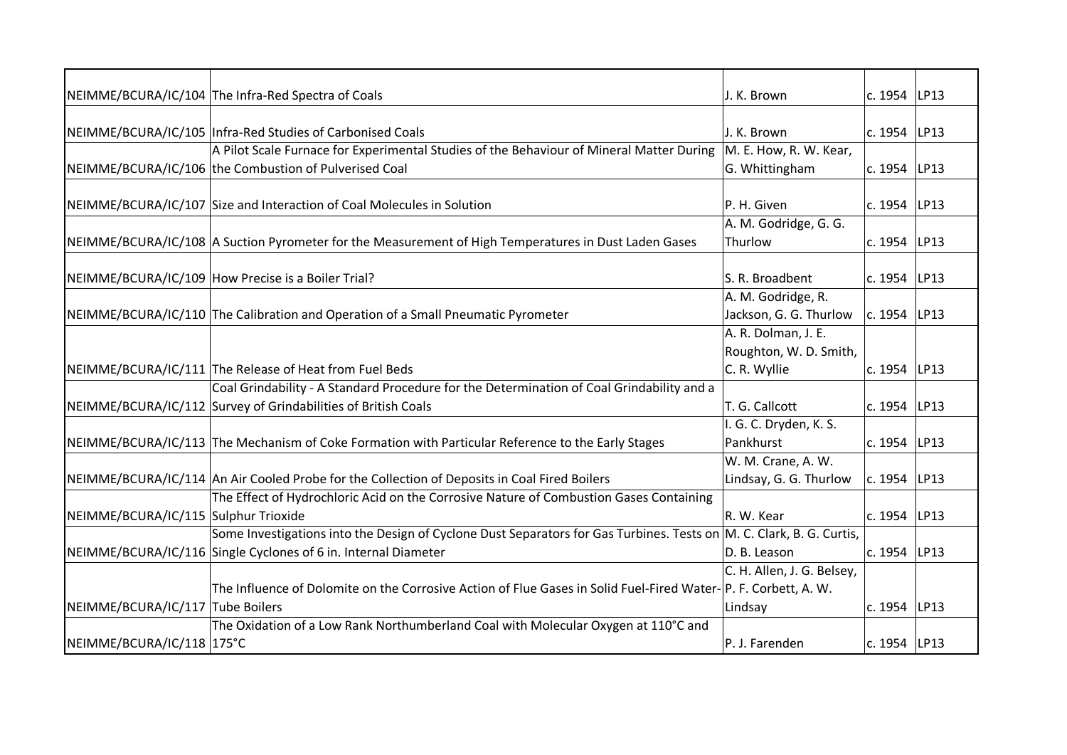|                                      | NEIMME/BCURA/IC/104 The Infra-Red Spectra of Coals                                                                               | J. K. Brown                | c. 1954 LP13   |      |
|--------------------------------------|----------------------------------------------------------------------------------------------------------------------------------|----------------------------|----------------|------|
|                                      |                                                                                                                                  |                            |                |      |
|                                      | NEIMME/BCURA/IC/105 Infra-Red Studies of Carbonised Coals                                                                        | J. K. Brown                | c. 1954 LP13   |      |
|                                      | A Pilot Scale Furnace for Experimental Studies of the Behaviour of Mineral Matter During                                         | M. E. How, R. W. Kear,     |                |      |
|                                      | NEIMME/BCURA/IC/106 the Combustion of Pulverised Coal                                                                            | G. Whittingham             | c. 1954   LP13 |      |
|                                      | NEIMME/BCURA/IC/107 Size and Interaction of Coal Molecules in Solution                                                           | P. H. Given                | c. 1954 LP13   |      |
|                                      |                                                                                                                                  | A. M. Godridge, G. G.      |                |      |
|                                      | NEIMME/BCURA/IC/108 A Suction Pyrometer for the Measurement of High Temperatures in Dust Laden Gases                             | Thurlow                    | c. 1954 LP13   |      |
|                                      |                                                                                                                                  |                            |                |      |
|                                      | NEIMME/BCURA/IC/109 How Precise is a Boiler Trial?                                                                               | S. R. Broadbent            | c. 1954   LP13 |      |
|                                      |                                                                                                                                  | A. M. Godridge, R.         |                |      |
|                                      | NEIMME/BCURA/IC/110 The Calibration and Operation of a Small Pneumatic Pyrometer                                                 | Jackson, G. G. Thurlow     | c. 1954 LP13   |      |
|                                      |                                                                                                                                  | A. R. Dolman, J. E.        |                |      |
|                                      |                                                                                                                                  | Roughton, W. D. Smith,     |                |      |
|                                      | NEIMME/BCURA/IC/111 The Release of Heat from Fuel Beds                                                                           | C. R. Wyllie               | c. 1954   LP13 |      |
|                                      | Coal Grindability - A Standard Procedure for the Determination of Coal Grindability and a                                        |                            |                |      |
|                                      | NEIMME/BCURA/IC/112 Survey of Grindabilities of British Coals                                                                    | T. G. Callcott             | c. 1954 LP13   |      |
|                                      |                                                                                                                                  | I. G. C. Dryden, K. S.     |                |      |
|                                      | NEIMME/BCURA/IC/113 The Mechanism of Coke Formation with Particular Reference to the Early Stages                                | Pankhurst                  | c. 1954        | LP13 |
|                                      |                                                                                                                                  | W. M. Crane, A. W.         |                |      |
|                                      | NEIMME/BCURA/IC/114 An Air Cooled Probe for the Collection of Deposits in Coal Fired Boilers                                     | Lindsay, G. G. Thurlow     | c. 1954 LP13   |      |
|                                      | The Effect of Hydrochloric Acid on the Corrosive Nature of Combustion Gases Containing                                           |                            |                |      |
| NEIMME/BCURA/IC/115 Sulphur Trioxide |                                                                                                                                  | R. W. Kear                 | c. 1954 LP13   |      |
|                                      | Some Investigations into the Design of Cyclone Dust Separators for Gas Turbines. Tests on $\mathsf{M}$ . C. Clark, B. G. Curtis, |                            |                |      |
|                                      | NEIMME/BCURA/IC/116 Single Cyclones of 6 in. Internal Diameter                                                                   | D. B. Leason               | c. 1954        | LP13 |
|                                      |                                                                                                                                  | C. H. Allen, J. G. Belsey, |                |      |
|                                      | The Influence of Dolomite on the Corrosive Action of Flue Gases in Solid Fuel-Fired Water-P. F. Corbett, A. W.                   |                            |                |      |
| NEIMME/BCURA/IC/117 Tube Boilers     |                                                                                                                                  | Lindsay                    | c. 1954   LP13 |      |
|                                      | The Oxidation of a Low Rank Northumberland Coal with Molecular Oxygen at 110°C and                                               |                            |                |      |
| NEIMME/BCURA/IC/118 175°C            |                                                                                                                                  | P. J. Farenden             | c. 1954 LP13   |      |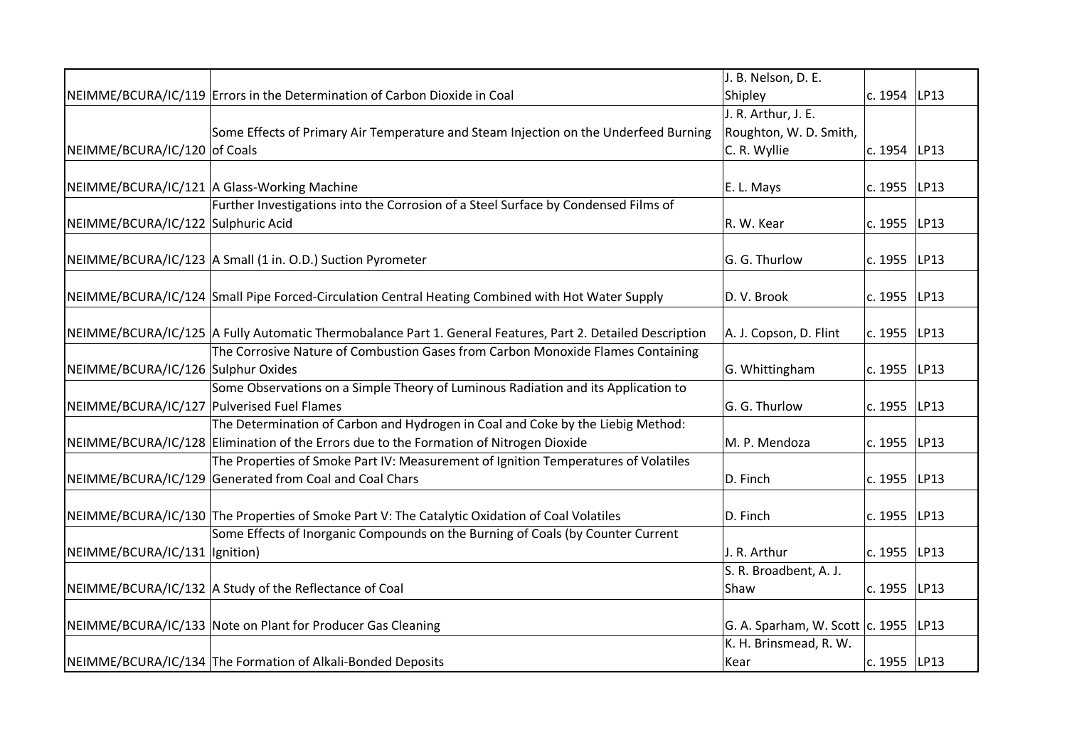|                                            |                                                                                                            | J. B. Nelson, D. E.                      |              |      |
|--------------------------------------------|------------------------------------------------------------------------------------------------------------|------------------------------------------|--------------|------|
|                                            | NEIMME/BCURA/IC/119 Errors in the Determination of Carbon Dioxide in Coal                                  | Shipley                                  | c. 1954 LP13 |      |
|                                            |                                                                                                            | J. R. Arthur, J. E.                      |              |      |
|                                            | Some Effects of Primary Air Temperature and Steam Injection on the Underfeed Burning                       | Roughton, W. D. Smith,                   |              |      |
| NEIMME/BCURA/IC/120 of Coals               |                                                                                                            | C. R. Wyllie                             | c. 1954      | LP13 |
|                                            |                                                                                                            |                                          |              |      |
|                                            | NEIMME/BCURA/IC/121 A Glass-Working Machine                                                                | E. L. Mays                               | c. 1955      | LP13 |
|                                            | Further Investigations into the Corrosion of a Steel Surface by Condensed Films of                         |                                          |              |      |
| NEIMME/BCURA/IC/122 Sulphuric Acid         |                                                                                                            | R. W. Kear                               | c. 1955 LP13 |      |
|                                            |                                                                                                            |                                          |              |      |
|                                            | NEIMME/BCURA/IC/123 A Small (1 in. O.D.) Suction Pyrometer                                                 | G. G. Thurlow                            | c. 1955      | LP13 |
|                                            |                                                                                                            |                                          |              |      |
|                                            | NEIMME/BCURA/IC/124 Small Pipe Forced-Circulation Central Heating Combined with Hot Water Supply           | D.V. Brook                               | c. 1955      | LP13 |
|                                            |                                                                                                            |                                          |              |      |
|                                            | NEIMME/BCURA/IC/125 A Fully Automatic Thermobalance Part 1. General Features, Part 2. Detailed Description | A. J. Copson, D. Flint                   | c. 1955      | LP13 |
|                                            | The Corrosive Nature of Combustion Gases from Carbon Monoxide Flames Containing                            |                                          |              |      |
| NEIMME/BCURA/IC/126 Sulphur Oxides         |                                                                                                            | G. Whittingham                           | c. 1955 LP13 |      |
|                                            | Some Observations on a Simple Theory of Luminous Radiation and its Application to                          |                                          |              |      |
| NEIMME/BCURA/IC/127 Pulverised Fuel Flames |                                                                                                            | G. G. Thurlow                            | c. 1955      | LP13 |
|                                            | The Determination of Carbon and Hydrogen in Coal and Coke by the Liebig Method:                            |                                          |              |      |
|                                            | NEIMME/BCURA/IC/128 Elimination of the Errors due to the Formation of Nitrogen Dioxide                     | M. P. Mendoza                            | c. 1955      | LP13 |
|                                            | The Properties of Smoke Part IV: Measurement of Ignition Temperatures of Volatiles                         |                                          |              |      |
|                                            | NEIMME/BCURA/IC/129 Generated from Coal and Coal Chars                                                     | D. Finch                                 | c. 1955 LP13 |      |
|                                            |                                                                                                            |                                          |              |      |
|                                            | NEIMME/BCURA/IC/130 The Properties of Smoke Part V: The Catalytic Oxidation of Coal Volatiles              | D. Finch                                 | c. 1955      | LP13 |
|                                            | Some Effects of Inorganic Compounds on the Burning of Coals (by Counter Current                            |                                          |              |      |
| NEIMME/BCURA/IC/131  Ignition)             |                                                                                                            | J. R. Arthur                             | c. 1955      | LP13 |
|                                            |                                                                                                            | S. R. Broadbent, A. J.                   |              |      |
|                                            | NEIMME/BCURA/IC/132 A Study of the Reflectance of Coal                                                     | Shaw                                     | c. 1955      | LP13 |
|                                            |                                                                                                            |                                          |              |      |
|                                            | NEIMME/BCURA/IC/133 Note on Plant for Producer Gas Cleaning                                                | G. A. Sparham, W. Scott $ c. 1955 $ LP13 |              |      |
|                                            |                                                                                                            | K. H. Brinsmead, R. W.                   |              |      |
|                                            | NEIMME/BCURA/IC/134 The Formation of Alkali-Bonded Deposits                                                | Kear                                     | c. 1955 LP13 |      |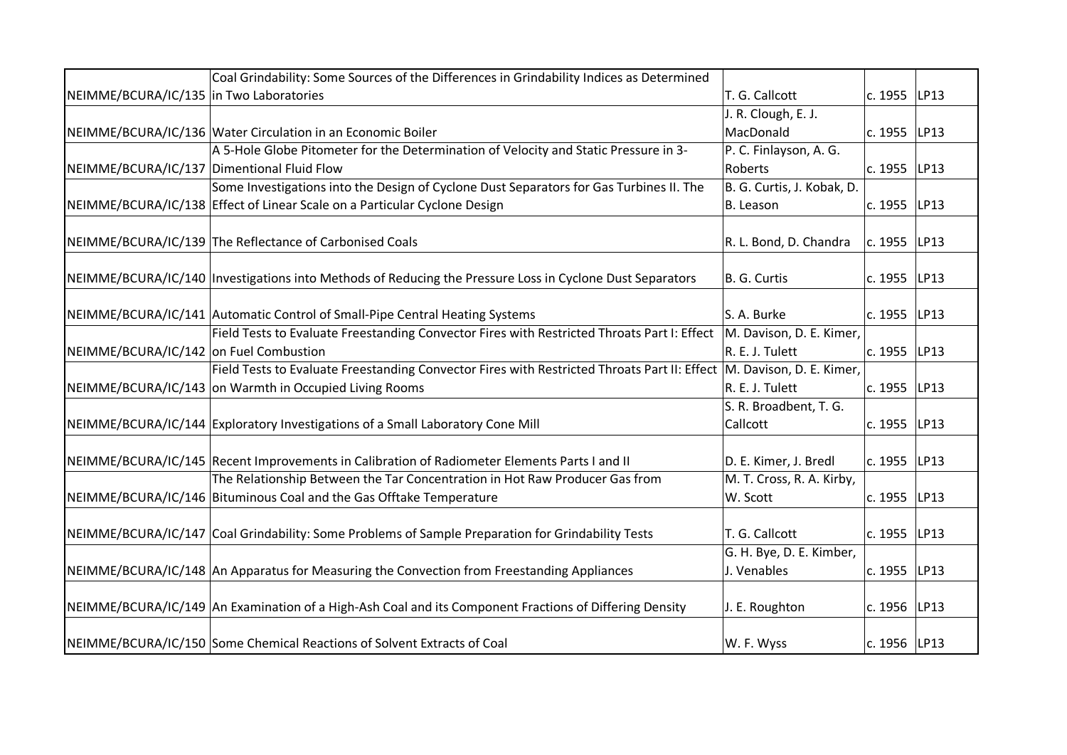|                                            | Coal Grindability: Some Sources of the Differences in Grindability Indices as Determined                              |                            |                |      |
|--------------------------------------------|-----------------------------------------------------------------------------------------------------------------------|----------------------------|----------------|------|
| NEIMME/BCURA/IC/135 in Two Laboratories    |                                                                                                                       | T. G. Callcott             | c. 1955 LP13   |      |
|                                            |                                                                                                                       | J. R. Clough, E. J.        |                |      |
|                                            | NEIMME/BCURA/IC/136 Water Circulation in an Economic Boiler                                                           | MacDonald                  | c. 1955   LP13 |      |
|                                            | A 5-Hole Globe Pitometer for the Determination of Velocity and Static Pressure in 3-                                  | P. C. Finlayson, A. G.     |                |      |
| NEIMME/BCURA/IC/137 Dimentional Fluid Flow |                                                                                                                       | Roberts                    | c. 1955 LP13   |      |
|                                            | Some Investigations into the Design of Cyclone Dust Separators for Gas Turbines II. The                               | B. G. Curtis, J. Kobak, D. |                |      |
|                                            | NEIMME/BCURA/IC/138 Effect of Linear Scale on a Particular Cyclone Design                                             | B. Leason                  | c. 1955        | LP13 |
|                                            |                                                                                                                       |                            |                |      |
|                                            | NEIMME/BCURA/IC/139 The Reflectance of Carbonised Coals                                                               | R. L. Bond, D. Chandra     | c. 1955 LP13   |      |
|                                            |                                                                                                                       |                            |                |      |
|                                            | NEIMME/BCURA/IC/140   Investigations into Methods of Reducing the Pressure Loss in Cyclone Dust Separators            | B. G. Curtis               | c. 1955 LP13   |      |
|                                            |                                                                                                                       |                            |                |      |
|                                            | NEIMME/BCURA/IC/141 Automatic Control of Small-Pipe Central Heating Systems                                           | S. A. Burke                | c. 1955        | LP13 |
|                                            | Field Tests to Evaluate Freestanding Convector Fires with Restricted Throats Part I: Effect  M. Davison, D. E. Kimer, |                            |                |      |
| NEIMME/BCURA/IC/142 on Fuel Combustion     |                                                                                                                       | R. E. J. Tulett            | c. 1955        | LP13 |
|                                            | Field Tests to Evaluate Freestanding Convector Fires with Restricted Throats Part II: Effect M. Davison, D. E. Kimer, |                            |                |      |
|                                            | NEIMME/BCURA/IC/143 on Warmth in Occupied Living Rooms                                                                | R. E. J. Tulett            | c. 1955 LP13   |      |
|                                            |                                                                                                                       | S. R. Broadbent, T. G.     |                |      |
|                                            | NEIMME/BCURA/IC/144 Exploratory Investigations of a Small Laboratory Cone Mill                                        | Callcott                   | c. 1955        | LP13 |
|                                            |                                                                                                                       |                            |                |      |
|                                            | NEIMME/BCURA/IC/145 Recent Improvements in Calibration of Radiometer Elements Parts I and II                          | D. E. Kimer, J. Bredl      | c. 1955 LP13   |      |
|                                            | The Relationship Between the Tar Concentration in Hot Raw Producer Gas from                                           | M. T. Cross, R. A. Kirby,  |                |      |
|                                            | NEIMME/BCURA/IC/146 Bituminous Coal and the Gas Offtake Temperature                                                   | W. Scott                   | c. 1955 LP13   |      |
|                                            |                                                                                                                       |                            |                |      |
|                                            | NEIMME/BCURA/IC/147 Coal Grindability: Some Problems of Sample Preparation for Grindability Tests                     | T. G. Callcott             | c. 1955 LP13   |      |
|                                            |                                                                                                                       | G. H. Bye, D. E. Kimber,   |                |      |
|                                            | NEIMME/BCURA/IC/148 An Apparatus for Measuring the Convection from Freestanding Appliances                            | J. Venables                | c. 1955 LP13   |      |
|                                            |                                                                                                                       |                            |                |      |
|                                            | NEIMME/BCURA/IC/149 An Examination of a High-Ash Coal and its Component Fractions of Differing Density                | J. E. Roughton             | c. 1956 LP13   |      |
|                                            |                                                                                                                       |                            |                |      |
|                                            | NEIMME/BCURA/IC/150 Some Chemical Reactions of Solvent Extracts of Coal                                               | W. F. Wyss                 | c. 1956 LP13   |      |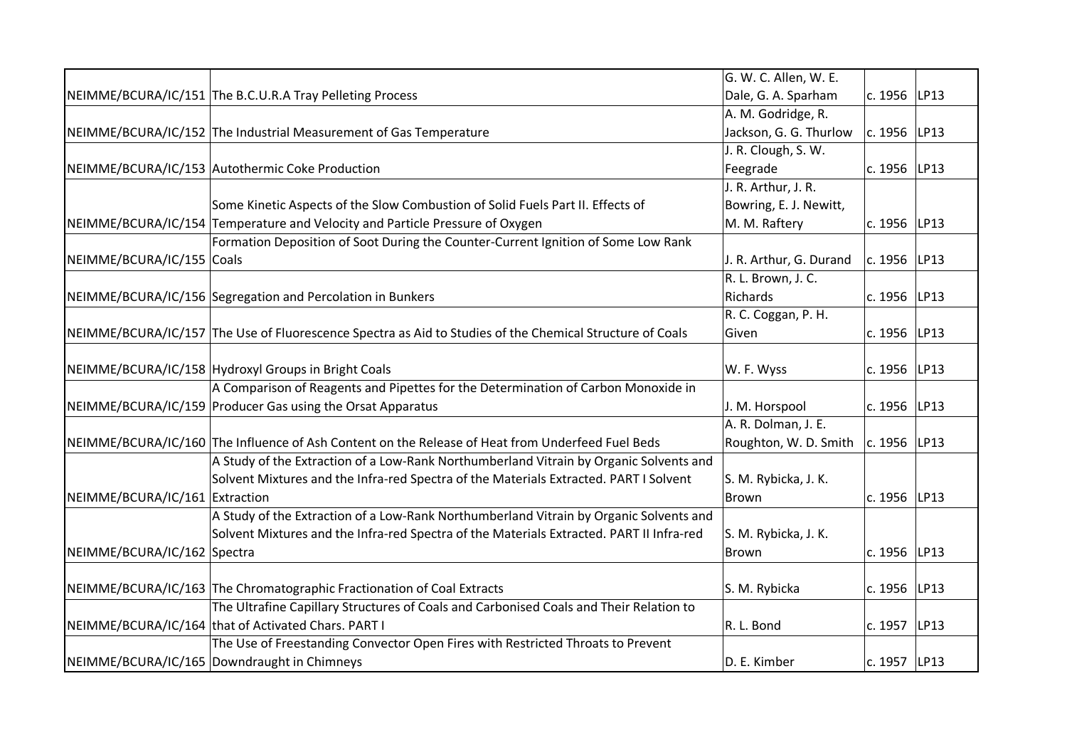|                                |                                                                                                          | G. W. C. Allen, W. E.   |                |      |
|--------------------------------|----------------------------------------------------------------------------------------------------------|-------------------------|----------------|------|
|                                | NEIMME/BCURA/IC/151 The B.C.U.R.A Tray Pelleting Process                                                 | Dale, G. A. Sparham     | c. 1956 LP13   |      |
|                                |                                                                                                          | A. M. Godridge, R.      |                |      |
|                                | NEIMME/BCURA/IC/152 The Industrial Measurement of Gas Temperature                                        | Jackson, G. G. Thurlow  | c. 1956 LP13   |      |
|                                |                                                                                                          | J. R. Clough, S. W.     |                |      |
|                                | NEIMME/BCURA/IC/153 Autothermic Coke Production                                                          | Feegrade                | c. 1956        | LP13 |
|                                |                                                                                                          | J. R. Arthur, J. R.     |                |      |
|                                | Some Kinetic Aspects of the Slow Combustion of Solid Fuels Part II. Effects of                           | Bowring, E. J. Newitt,  |                |      |
|                                | NEIMME/BCURA/IC/154 Temperature and Velocity and Particle Pressure of Oxygen                             | M. M. Raftery           | c. 1956   LP13 |      |
|                                | Formation Deposition of Soot During the Counter-Current Ignition of Some Low Rank                        |                         |                |      |
| NEIMME/BCURA/IC/155 Coals      |                                                                                                          | J. R. Arthur, G. Durand | c. 1956   LP13 |      |
|                                |                                                                                                          | R. L. Brown, J. C.      |                |      |
|                                | NEIMME/BCURA/IC/156 Segregation and Percolation in Bunkers                                               | Richards                | c. 1956 LP13   |      |
|                                |                                                                                                          | R. C. Coggan, P. H.     |                |      |
|                                | NEIMME/BCURA/IC/157 The Use of Fluorescence Spectra as Aid to Studies of the Chemical Structure of Coals | Given                   | c. 1956   LP13 |      |
|                                |                                                                                                          |                         |                |      |
|                                | NEIMME/BCURA/IC/158 Hydroxyl Groups in Bright Coals                                                      | W. F. Wyss              | c. $1956$ LP13 |      |
|                                | A Comparison of Reagents and Pipettes for the Determination of Carbon Monoxide in                        |                         |                |      |
|                                | NEIMME/BCURA/IC/159 Producer Gas using the Orsat Apparatus                                               | J. M. Horspool          | c. 1956   LP13 |      |
|                                |                                                                                                          | A. R. Dolman, J. E.     |                |      |
|                                | NEIMME/BCURA/IC/160 The Influence of Ash Content on the Release of Heat from Underfeed Fuel Beds         | Roughton, W. D. Smith   | $c. 1956$ LP13 |      |
|                                | A Study of the Extraction of a Low-Rank Northumberland Vitrain by Organic Solvents and                   |                         |                |      |
|                                | Solvent Mixtures and the Infra-red Spectra of the Materials Extracted. PART I Solvent                    | S. M. Rybicka, J. K.    |                |      |
| NEIMME/BCURA/IC/161 Extraction |                                                                                                          | Brown                   | c. 1956   LP13 |      |
|                                | A Study of the Extraction of a Low-Rank Northumberland Vitrain by Organic Solvents and                   |                         |                |      |
|                                | Solvent Mixtures and the Infra-red Spectra of the Materials Extracted. PART II Infra-red                 | S. M. Rybicka, J. K.    |                |      |
| NEIMME/BCURA/IC/162 Spectra    |                                                                                                          | <b>Brown</b>            | c. 1956        | LP13 |
|                                |                                                                                                          |                         |                |      |
|                                | NEIMME/BCURA/IC/163 The Chromatographic Fractionation of Coal Extracts                                   | S. M. Rybicka           | c. 1956        | LP13 |
|                                | The Ultrafine Capillary Structures of Coals and Carbonised Coals and Their Relation to                   |                         |                |      |
|                                | NEIMME/BCURA/IC/164 that of Activated Chars. PART I                                                      | R. L. Bond              | c. 1957   LP13 |      |
|                                | The Use of Freestanding Convector Open Fires with Restricted Throats to Prevent                          |                         |                |      |
|                                | NEIMME/BCURA/IC/165 Downdraught in Chimneys                                                              | D. E. Kimber            | c. 1957 LP13   |      |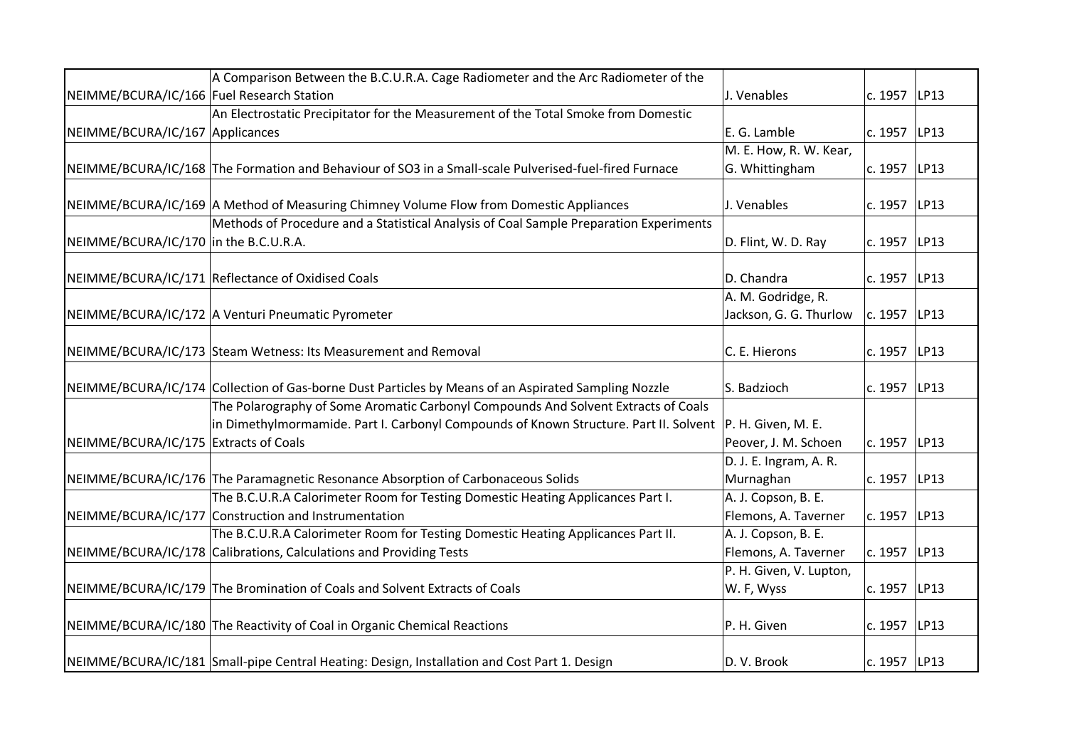|                                           | A Comparison Between the B.C.U.R.A. Cage Radiometer and the Arc Radiometer of the                        |                         |                |      |
|-------------------------------------------|----------------------------------------------------------------------------------------------------------|-------------------------|----------------|------|
| NEIMME/BCURA/IC/166 Fuel Research Station |                                                                                                          | J. Venables             | c. 1957   LP13 |      |
|                                           | An Electrostatic Precipitator for the Measurement of the Total Smoke from Domestic                       |                         |                |      |
| NEIMME/BCURA/IC/167 Applicances           |                                                                                                          | E. G. Lamble            | $c. 1957$ LP13 |      |
|                                           |                                                                                                          | M. E. How, R. W. Kear,  |                |      |
|                                           | NEIMME/BCURA/IC/168 The Formation and Behaviour of SO3 in a Small-scale Pulverised-fuel-fired Furnace    | G. Whittingham          | c. 1957        | LP13 |
|                                           |                                                                                                          |                         |                |      |
|                                           | NEIMME/BCURA/IC/169 A Method of Measuring Chimney Volume Flow from Domestic Appliances                   | J. Venables             | c. 1957 LP13   |      |
|                                           | Methods of Procedure and a Statistical Analysis of Coal Sample Preparation Experiments                   |                         |                |      |
| NEIMME/BCURA/IC/170 in the B.C.U.R.A.     |                                                                                                          | D. Flint, W. D. Ray     | c. 1957 LP13   |      |
|                                           |                                                                                                          |                         |                |      |
|                                           | NEIMME/BCURA/IC/171 Reflectance of Oxidised Coals                                                        | D. Chandra              | c. 1957 LP13   |      |
|                                           |                                                                                                          | A. M. Godridge, R.      |                |      |
|                                           | NEIMME/BCURA/IC/172 A Venturi Pneumatic Pyrometer                                                        | Jackson, G. G. Thurlow  | c. 1957 LP13   |      |
|                                           |                                                                                                          |                         |                |      |
|                                           | NEIMME/BCURA/IC/173 Steam Wetness: Its Measurement and Removal                                           | C. E. Hierons           | c. 1957   LP13 |      |
|                                           |                                                                                                          |                         |                |      |
|                                           | NEIMME/BCURA/IC/174 Collection of Gas-borne Dust Particles by Means of an Aspirated Sampling Nozzle      | S. Badzioch             | c. 1957        | LP13 |
|                                           | The Polarography of Some Aromatic Carbonyl Compounds And Solvent Extracts of Coals                       |                         |                |      |
|                                           | in Dimethylmormamide. Part I. Carbonyl Compounds of Known Structure. Part II. Solvent P. H. Given, M. E. |                         |                |      |
| NEIMME/BCURA/IC/175 Extracts of Coals     |                                                                                                          | Peover, J. M. Schoen    | c. 1957 LP13   |      |
|                                           |                                                                                                          | D. J. E. Ingram, A. R.  |                |      |
|                                           | NEIMME/BCURA/IC/176 The Paramagnetic Resonance Absorption of Carbonaceous Solids                         | Murnaghan               | c. 1957   LP13 |      |
|                                           | The B.C.U.R.A Calorimeter Room for Testing Domestic Heating Applicances Part I.                          | A. J. Copson, B. E.     |                |      |
|                                           | NEIMME/BCURA/IC/177 Construction and Instrumentation                                                     | Flemons, A. Taverner    | c. 1957   LP13 |      |
|                                           | The B.C.U.R.A Calorimeter Room for Testing Domestic Heating Applicances Part II.                         | A. J. Copson, B. E.     |                |      |
|                                           | NEIMME/BCURA/IC/178 Calibrations, Calculations and Providing Tests                                       | Flemons, A. Taverner    | c. 1957 LP13   |      |
|                                           |                                                                                                          | P. H. Given, V. Lupton, |                |      |
|                                           | NEIMME/BCURA/IC/179 The Bromination of Coals and Solvent Extracts of Coals                               | W. F, Wyss              | c. 1957 LP13   |      |
|                                           |                                                                                                          |                         |                |      |
|                                           | NEIMME/BCURA/IC/180 The Reactivity of Coal in Organic Chemical Reactions                                 | P. H. Given             | c. 1957 LP13   |      |
|                                           |                                                                                                          |                         |                |      |
|                                           | NEIMME/BCURA/IC/181 Small-pipe Central Heating: Design, Installation and Cost Part 1. Design             | D.V. Brook              | c. 1957 LP13   |      |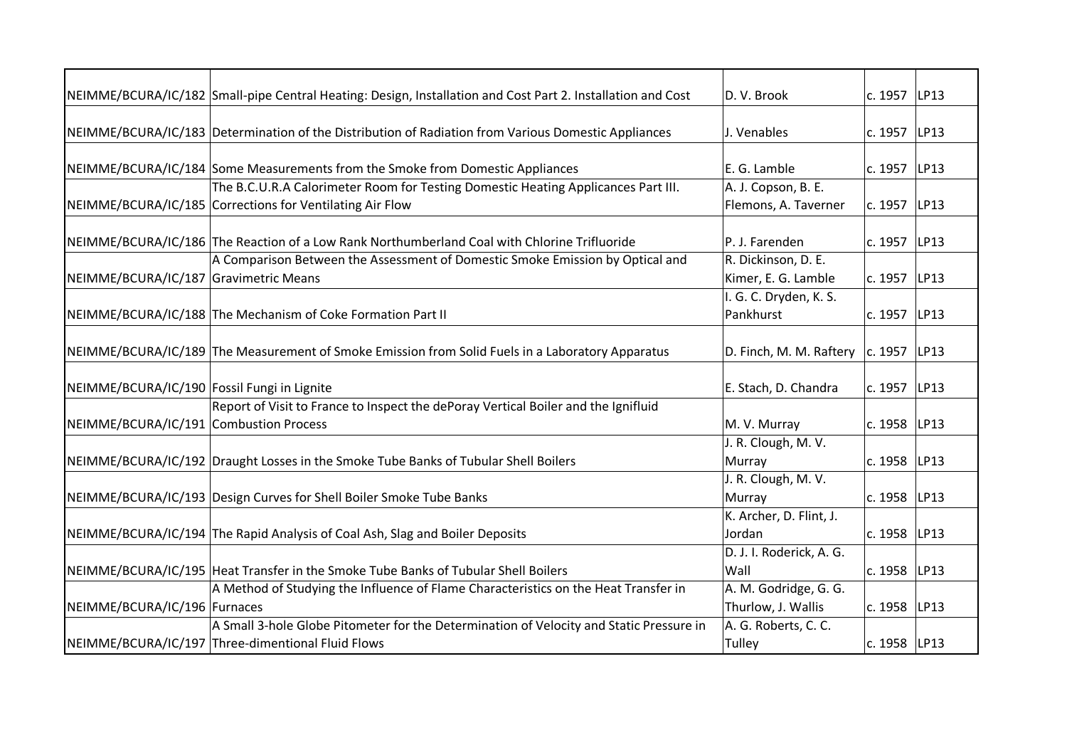|                                             | NEIMME/BCURA/IC/182 Small-pipe Central Heating: Design, Installation and Cost Part 2. Installation and Cost | D. V. Brook                              | c. 1957   LP13 |      |
|---------------------------------------------|-------------------------------------------------------------------------------------------------------------|------------------------------------------|----------------|------|
|                                             |                                                                                                             |                                          |                |      |
|                                             | NEIMME/BCURA/IC/183 Determination of the Distribution of Radiation from Various Domestic Appliances         | J. Venables                              | c. 1957 LP13   |      |
|                                             |                                                                                                             |                                          |                |      |
|                                             | NEIMME/BCURA/IC/184 Some Measurements from the Smoke from Domestic Appliances                               | E. G. Lamble                             | c. 1957   LP13 |      |
|                                             | The B.C.U.R.A Calorimeter Room for Testing Domestic Heating Applicances Part III.                           | A. J. Copson, B. E.                      |                |      |
|                                             | NEIMME/BCURA/IC/185 Corrections for Ventilating Air Flow                                                    | Flemons, A. Taverner                     | c. 1957 LP13   |      |
|                                             |                                                                                                             |                                          |                |      |
|                                             | NEIMME/BCURA/IC/186 The Reaction of a Low Rank Northumberland Coal with Chlorine Trifluoride                | P. J. Farenden                           | c. 1957        | LP13 |
|                                             | A Comparison Between the Assessment of Domestic Smoke Emission by Optical and                               | R. Dickinson, D. E.                      |                |      |
| NEIMME/BCURA/IC/187 Gravimetric Means       |                                                                                                             | Kimer, E. G. Lamble                      | c. 1957 LP13   |      |
|                                             |                                                                                                             | I. G. C. Dryden, K. S.                   |                |      |
|                                             | NEIMME/BCURA/IC/188 The Mechanism of Coke Formation Part II                                                 | Pankhurst                                | c. 1957 LP13   |      |
|                                             |                                                                                                             |                                          |                |      |
|                                             | NEIMME/BCURA/IC/189 The Measurement of Smoke Emission from Solid Fuels in a Laboratory Apparatus            | D. Finch, M. M. Raftery $ c. 1957 $ LP13 |                |      |
|                                             |                                                                                                             |                                          |                |      |
| NEIMME/BCURA/IC/190 Fossil Fungi in Lignite |                                                                                                             | E. Stach, D. Chandra                     | c. 1957   LP13 |      |
|                                             | Report of Visit to France to Inspect the dePoray Vertical Boiler and the Ignifluid                          |                                          |                |      |
| NEIMME/BCURA/IC/191 Combustion Process      |                                                                                                             | M. V. Murray                             | c. 1958        | LP13 |
|                                             |                                                                                                             | J. R. Clough, M. V.                      |                |      |
|                                             | NEIMME/BCURA/IC/192 Draught Losses in the Smoke Tube Banks of Tubular Shell Boilers                         | Murray                                   | c. 1958   LP13 |      |
|                                             |                                                                                                             | J. R. Clough, M. V.                      |                |      |
|                                             | NEIMME/BCURA/IC/193 Design Curves for Shell Boiler Smoke Tube Banks                                         | Murray                                   | c. 1958   LP13 |      |
|                                             |                                                                                                             | K. Archer, D. Flint, J.                  |                |      |
|                                             | NEIMME/BCURA/IC/194 The Rapid Analysis of Coal Ash, Slag and Boiler Deposits                                | Jordan                                   | c. 1958        | LP13 |
|                                             |                                                                                                             | D. J. I. Roderick, A. G.                 |                |      |
|                                             | NEIMME/BCURA/IC/195 Heat Transfer in the Smoke Tube Banks of Tubular Shell Boilers                          | Wall                                     | c. 1958 LP13   |      |
|                                             | A Method of Studying the Influence of Flame Characteristics on the Heat Transfer in                         | A. M. Godridge, G. G.                    |                |      |
| NEIMME/BCURA/IC/196 Furnaces                |                                                                                                             | Thurlow, J. Wallis                       | c. 1958 LP13   |      |
|                                             | A Small 3-hole Globe Pitometer for the Determination of Velocity and Static Pressure in                     | A. G. Roberts, C. C.                     |                |      |
|                                             | NEIMME/BCURA/IC/197 Three-dimentional Fluid Flows                                                           | <b>Tulley</b>                            | c. 1958 LP13   |      |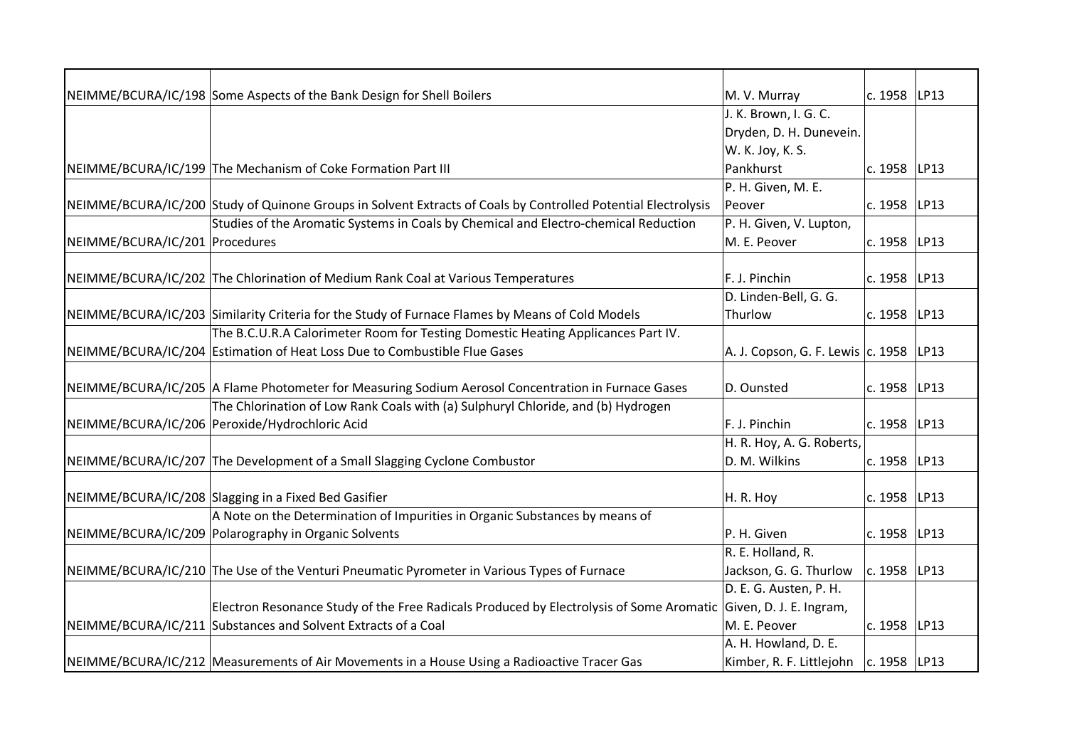|                                | NEIMME/BCURA/IC/198 Some Aspects of the Bank Design for Shell Boilers                                           | M. V. Murray                               | c. 1958   LP13 |      |
|--------------------------------|-----------------------------------------------------------------------------------------------------------------|--------------------------------------------|----------------|------|
|                                |                                                                                                                 | J. K. Brown, I. G. C.                      |                |      |
|                                |                                                                                                                 | Dryden, D. H. Dunevein.                    |                |      |
|                                |                                                                                                                 | W. K. Joy, K. S.                           |                |      |
|                                | NEIMME/BCURA/IC/199 The Mechanism of Coke Formation Part III                                                    | Pankhurst                                  | c. 1958        | LP13 |
|                                |                                                                                                                 | P. H. Given, M. E.                         |                |      |
|                                | NEIMME/BCURA/IC/200 Study of Quinone Groups in Solvent Extracts of Coals by Controlled Potential Electrolysis   | Peover                                     | c. 1958 LP13   |      |
|                                | Studies of the Aromatic Systems in Coals by Chemical and Electro-chemical Reduction                             | P. H. Given, V. Lupton,                    |                |      |
| NEIMME/BCURA/IC/201 Procedures |                                                                                                                 | M. E. Peover                               | c. 1958   LP13 |      |
|                                |                                                                                                                 |                                            |                |      |
|                                | NEIMME/BCURA/IC/202 The Chlorination of Medium Rank Coal at Various Temperatures                                | F. J. Pinchin                              | c. 1958 LP13   |      |
|                                |                                                                                                                 | D. Linden-Bell, G. G.                      |                |      |
|                                | NEIMME/BCURA/IC/203 Similarity Criteria for the Study of Furnace Flames by Means of Cold Models                 | Thurlow                                    | c. 1958        | LP13 |
|                                | The B.C.U.R.A Calorimeter Room for Testing Domestic Heating Applicances Part IV.                                |                                            |                |      |
|                                | NEIMME/BCURA/IC/204 Estimation of Heat Loss Due to Combustible Flue Gases                                       | A. J. Copson, G. F. Lewis   c. 1958   LP13 |                |      |
|                                |                                                                                                                 |                                            |                |      |
|                                | NEIMME/BCURA/IC/205 A Flame Photometer for Measuring Sodium Aerosol Concentration in Furnace Gases              | D. Ounsted                                 | c. 1958        | LP13 |
|                                | The Chlorination of Low Rank Coals with (a) Sulphuryl Chloride, and (b) Hydrogen                                |                                            |                |      |
|                                | NEIMME/BCURA/IC/206 Peroxide/Hydrochloric Acid                                                                  | F. J. Pinchin                              | c. 1958 LP13   |      |
|                                |                                                                                                                 | H. R. Hoy, A. G. Roberts,                  |                |      |
|                                | NEIMME/BCURA/IC/207 The Development of a Small Slagging Cyclone Combustor                                       | D. M. Wilkins                              | c. 1958        | LP13 |
|                                |                                                                                                                 |                                            |                |      |
|                                | NEIMME/BCURA/IC/208 Slagging in a Fixed Bed Gasifier                                                            | H. R. Hoy                                  | c. 1958 LP13   |      |
|                                | A Note on the Determination of Impurities in Organic Substances by means of                                     |                                            |                |      |
|                                | NEIMME/BCURA/IC/209 Polarography in Organic Solvents                                                            | P. H. Given                                | c. 1958        | LP13 |
|                                |                                                                                                                 | R. E. Holland, R.                          |                |      |
|                                | NEIMME/BCURA/IC/210 The Use of the Venturi Pneumatic Pyrometer in Various Types of Furnace                      | Jackson, G. G. Thurlow                     | c. 1958        | LP13 |
|                                |                                                                                                                 | D. E. G. Austen, P. H.                     |                |      |
|                                | Electron Resonance Study of the Free Radicals Produced by Electrolysis of Some Aromatic Given, D. J. E. Ingram, |                                            |                |      |
|                                | NEIMME/BCURA/IC/211 Substances and Solvent Extracts of a Coal                                                   | M. E. Peover                               | c. 1958   LP13 |      |
|                                |                                                                                                                 | A. H. Howland, D. E.                       |                |      |
|                                | NEIMME/BCURA/IC/212 Measurements of Air Movements in a House Using a Radioactive Tracer Gas                     | Kimber, R. F. Littlejohn   c. 1958   LP13  |                |      |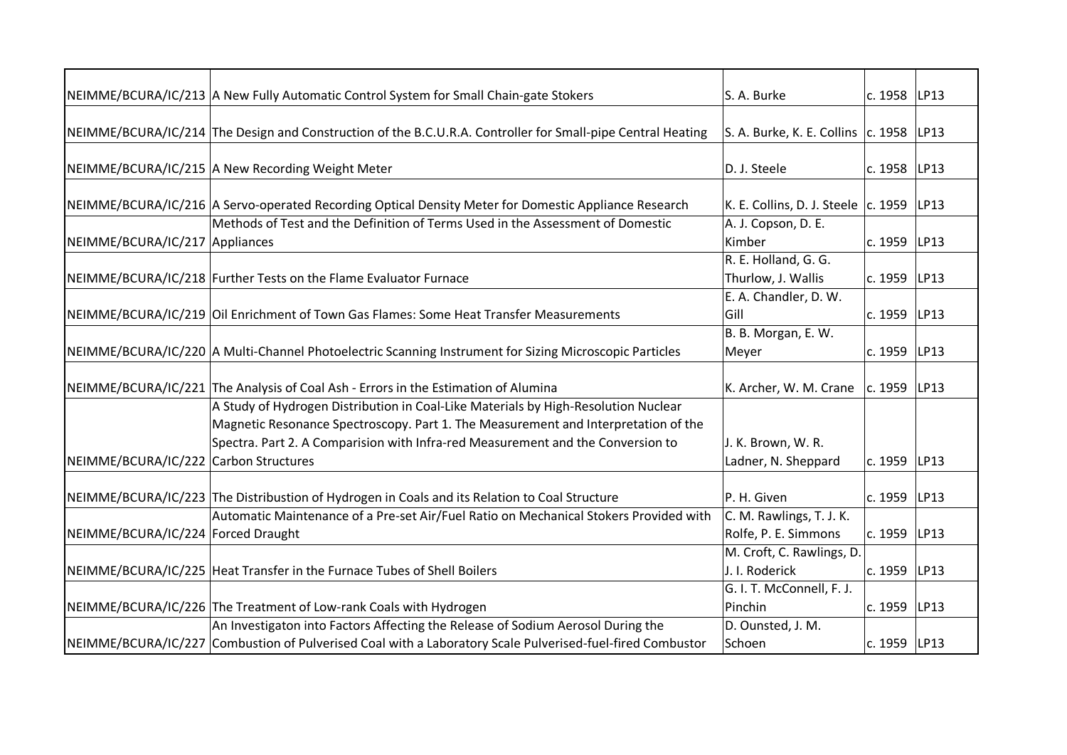|                                       | NEIMME/BCURA/IC/213 A New Fully Automatic Control System for Small Chain-gate Stokers                       | S. A. Burke                                       | c. 1958   LP13 |      |
|---------------------------------------|-------------------------------------------------------------------------------------------------------------|---------------------------------------------------|----------------|------|
|                                       |                                                                                                             |                                                   |                |      |
|                                       | NEIMME/BCURA/IC/214 The Design and Construction of the B.C.U.R.A. Controller for Small-pipe Central Heating | S. A. Burke, K. E. Collins $\vert$ c. 1958   LP13 |                |      |
|                                       | NEIMME/BCURA/IC/215 A New Recording Weight Meter                                                            | D. J. Steele                                      | c. 1958 LP13   |      |
|                                       |                                                                                                             |                                                   |                |      |
|                                       | NEIMME/BCURA/IC/216 A Servo-operated Recording Optical Density Meter for Domestic Appliance Research        | K. E. Collins, D. J. Steele $ c. 1959 $ LP13      |                |      |
|                                       | Methods of Test and the Definition of Terms Used in the Assessment of Domestic                              | A. J. Copson, D. E.                               |                |      |
| NEIMME/BCURA/IC/217 Appliances        |                                                                                                             | Kimber                                            | c. 1959 LP13   |      |
|                                       |                                                                                                             | R. E. Holland, G. G.                              |                |      |
|                                       | NEIMME/BCURA/IC/218 Further Tests on the Flame Evaluator Furnace                                            | Thurlow, J. Wallis                                | c. 1959 LP13   |      |
|                                       |                                                                                                             | E. A. Chandler, D. W.                             |                |      |
|                                       | NEIMME/BCURA/IC/219 Oil Enrichment of Town Gas Flames: Some Heat Transfer Measurements                      | Gill                                              | c. 1959 LP13   |      |
|                                       |                                                                                                             | B. B. Morgan, E. W.                               |                |      |
|                                       | NEIMME/BCURA/IC/220 A Multi-Channel Photoelectric Scanning Instrument for Sizing Microscopic Particles      | Meyer                                             | c. 1959 LP13   |      |
|                                       |                                                                                                             |                                                   |                |      |
|                                       | NEIMME/BCURA/IC/221 The Analysis of Coal Ash - Errors in the Estimation of Alumina                          | K. Archer, W. M. Crane $ c. 1959 LP13$            |                |      |
|                                       | A Study of Hydrogen Distribution in Coal-Like Materials by High-Resolution Nuclear                          |                                                   |                |      |
|                                       | Magnetic Resonance Spectroscopy. Part 1. The Measurement and Interpretation of the                          |                                                   |                |      |
|                                       | Spectra. Part 2. A Comparision with Infra-red Measurement and the Conversion to                             | J. K. Brown, W. R.                                |                |      |
| NEIMME/BCURA/IC/222 Carbon Structures |                                                                                                             | Ladner, N. Sheppard                               | c. 1959 LP13   |      |
|                                       |                                                                                                             |                                                   |                |      |
|                                       | NEIMME/BCURA/IC/223 The Distribustion of Hydrogen in Coals and its Relation to Coal Structure               | P. H. Given                                       | c. 1959 LP13   |      |
|                                       | Automatic Maintenance of a Pre-set Air/Fuel Ratio on Mechanical Stokers Provided with                       | C. M. Rawlings, T. J. K.                          |                |      |
| NEIMME/BCURA/IC/224 Forced Draught    |                                                                                                             | Rolfe, P. E. Simmons                              | c. 1959 LP13   |      |
|                                       |                                                                                                             | M. Croft, C. Rawlings, D.                         |                |      |
|                                       | NEIMME/BCURA/IC/225 Heat Transfer in the Furnace Tubes of Shell Boilers                                     | J. I. Roderick                                    | c. 1959        | LP13 |
|                                       |                                                                                                             | G. I. T. McConnell, F. J.                         |                |      |
|                                       | NEIMME/BCURA/IC/226 The Treatment of Low-rank Coals with Hydrogen                                           | Pinchin                                           | c. 1959 LP13   |      |
|                                       | An Investigaton into Factors Affecting the Release of Sodium Aerosol During the                             | D. Ounsted, J. M.                                 |                |      |
|                                       | NEIMME/BCURA/IC/227 Combustion of Pulverised Coal with a Laboratory Scale Pulverised-fuel-fired Combustor   | Schoen                                            | c. 1959 LP13   |      |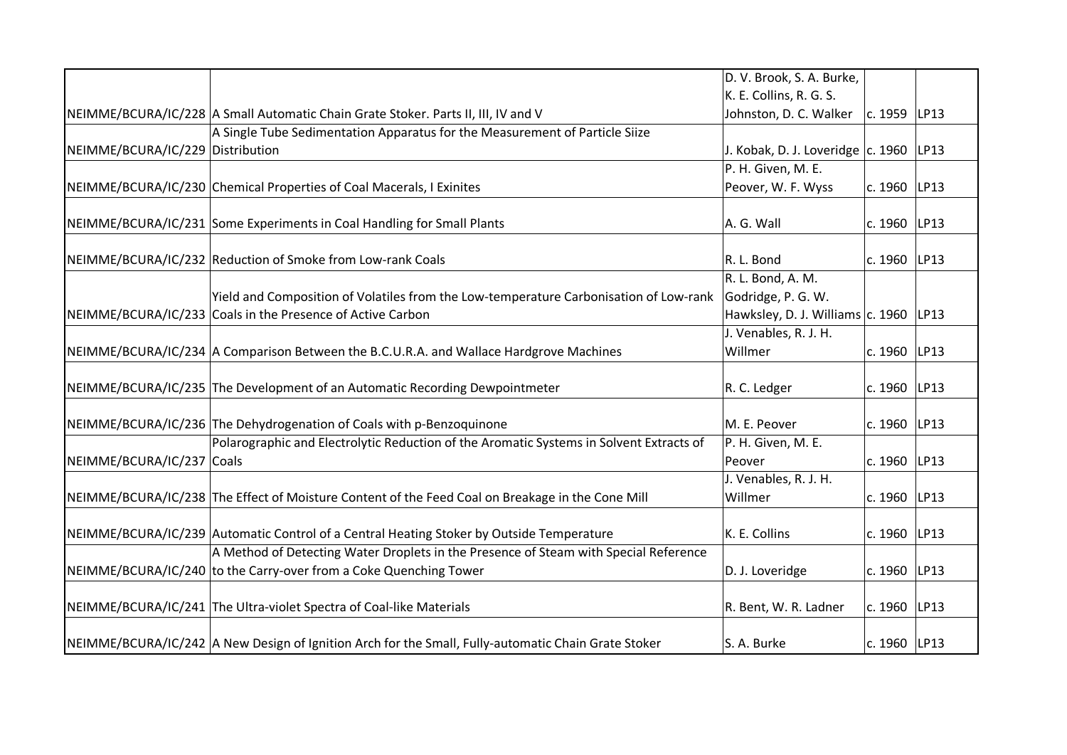|                                  |                                                                                                     | D. V. Brook, S. A. Burke,                  |                |  |
|----------------------------------|-----------------------------------------------------------------------------------------------------|--------------------------------------------|----------------|--|
|                                  |                                                                                                     | K. E. Collins, R. G. S.                    |                |  |
|                                  | NEIMME/BCURA/IC/228 A Small Automatic Chain Grate Stoker. Parts II, III, IV and V                   | Johnston, D. C. Walker                     | c. 1959 LP13   |  |
|                                  | A Single Tube Sedimentation Apparatus for the Measurement of Particle Siize                         |                                            |                |  |
| NEIMME/BCURA/IC/229 Distribution |                                                                                                     | J. Kobak, D. J. Loveridge $ c. 1960 $ LP13 |                |  |
|                                  |                                                                                                     | P. H. Given, M. E.                         |                |  |
|                                  | NEIMME/BCURA/IC/230 Chemical Properties of Coal Macerals, I Exinites                                | Peover, W. F. Wyss                         | c. 1960 LP13   |  |
|                                  |                                                                                                     |                                            |                |  |
|                                  | NEIMME/BCURA/IC/231 Some Experiments in Coal Handling for Small Plants                              | A. G. Wall                                 | c. 1960 LP13   |  |
|                                  |                                                                                                     |                                            |                |  |
|                                  | NEIMME/BCURA/IC/232 Reduction of Smoke from Low-rank Coals                                          | R. L. Bond                                 | c. 1960   LP13 |  |
|                                  |                                                                                                     | R. L. Bond, A. M.                          |                |  |
|                                  | Yield and Composition of Volatiles from the Low-temperature Carbonisation of Low-rank               | Godridge, P. G. W.                         |                |  |
|                                  | NEIMME/BCURA/IC/233 Coals in the Presence of Active Carbon                                          | Hawksley, D. J. Williams c. 1960   LP13    |                |  |
|                                  |                                                                                                     | J. Venables, R. J. H.                      |                |  |
|                                  | NEIMME/BCURA/IC/234 A Comparison Between the B.C.U.R.A. and Wallace Hardgrove Machines              | Willmer                                    | c. 1960 LP13   |  |
|                                  |                                                                                                     |                                            |                |  |
|                                  | NEIMME/BCURA/IC/235 The Development of an Automatic Recording Dewpointmeter                         | R. C. Ledger                               | c. 1960   LP13 |  |
|                                  |                                                                                                     |                                            |                |  |
|                                  | NEIMME/BCURA/IC/236 The Dehydrogenation of Coals with p-Benzoquinone                                | M. E. Peover                               | c. 1960 LP13   |  |
|                                  | Polarographic and Electrolytic Reduction of the Aromatic Systems in Solvent Extracts of             | P. H. Given, M. E.                         |                |  |
| NEIMME/BCURA/IC/237 Coals        |                                                                                                     | Peover                                     | c. 1960 LP13   |  |
|                                  |                                                                                                     | J. Venables, R. J. H.                      |                |  |
|                                  | NEIMME/BCURA/IC/238 The Effect of Moisture Content of the Feed Coal on Breakage in the Cone Mill    | Willmer                                    | c. 1960   LP13 |  |
|                                  |                                                                                                     |                                            |                |  |
|                                  | NEIMME/BCURA/IC/239 Automatic Control of a Central Heating Stoker by Outside Temperature            | K. E. Collins                              | c. 1960 LP13   |  |
|                                  | A Method of Detecting Water Droplets in the Presence of Steam with Special Reference                |                                            |                |  |
|                                  | NEIMME/BCURA/IC/240 to the Carry-over from a Coke Quenching Tower                                   | D. J. Loveridge                            | c. 1960 LP13   |  |
|                                  |                                                                                                     |                                            |                |  |
|                                  | NEIMME/BCURA/IC/241 The Ultra-violet Spectra of Coal-like Materials                                 | R. Bent, W. R. Ladner                      | c. 1960 LP13   |  |
|                                  |                                                                                                     |                                            |                |  |
|                                  | NEIMME/BCURA/IC/242 A New Design of Ignition Arch for the Small, Fully-automatic Chain Grate Stoker | S. A. Burke                                | c. 1960 LP13   |  |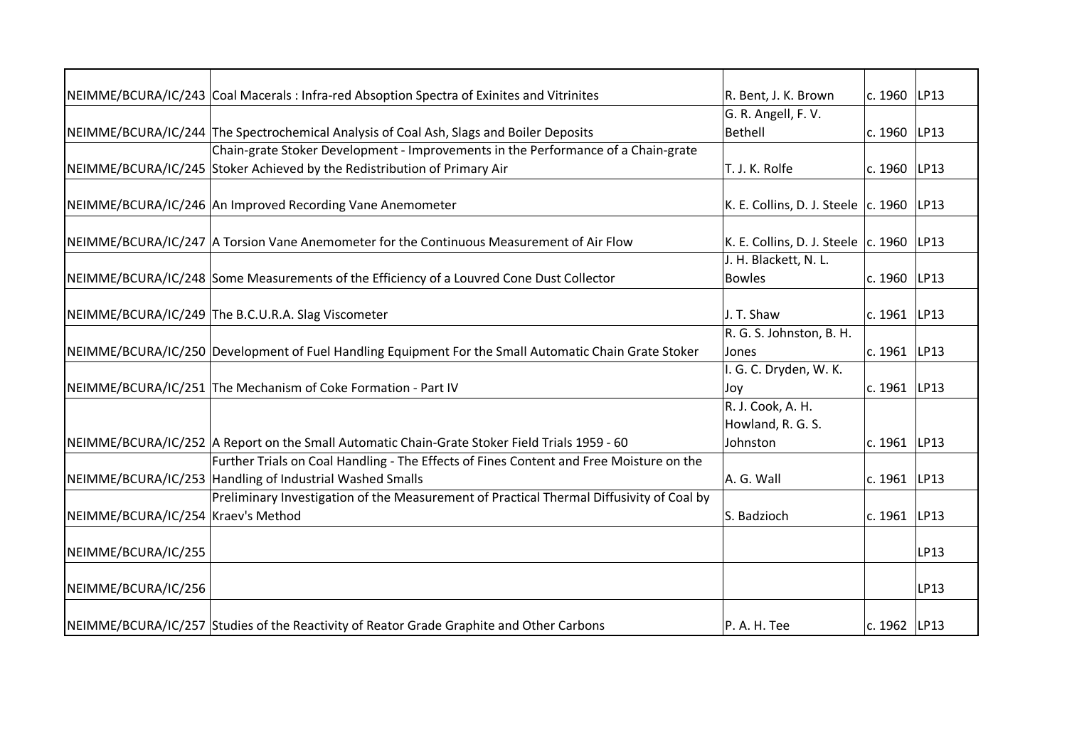|                                    | NEIMME/BCURA/IC/243 Coal Macerals: Infra-red Absoption Spectra of Exinites and Vitrinites             | R. Bent, J. K. Brown                         | c. 1960 LP13   |      |
|------------------------------------|-------------------------------------------------------------------------------------------------------|----------------------------------------------|----------------|------|
|                                    |                                                                                                       | G. R. Angell, F. V.                          |                |      |
|                                    | NEIMME/BCURA/IC/244 The Spectrochemical Analysis of Coal Ash, Slags and Boiler Deposits               | Bethell                                      | c. 1960   LP13 |      |
|                                    | Chain-grate Stoker Development - Improvements in the Performance of a Chain-grate                     |                                              |                |      |
|                                    | NEIMME/BCURA/IC/245 Stoker Achieved by the Redistribution of Primary Air                              | T. J. K. Rolfe                               | c. 1960 LP13   |      |
|                                    | NEIMME/BCURA/IC/246 An Improved Recording Vane Anemometer                                             | K. E. Collins, D. J. Steele $ c. 1960 $ LP13 |                |      |
|                                    | NEIMME/BCURA/IC/247   A Torsion Vane Anemometer for the Continuous Measurement of Air Flow            | K. E. Collins, D. J. Steele $ c. 1960 $ LP13 |                |      |
|                                    |                                                                                                       | J. H. Blackett, N. L.                        |                |      |
|                                    | NEIMME/BCURA/IC/248 Some Measurements of the Efficiency of a Louvred Cone Dust Collector              | <b>Bowles</b>                                | c. 1960 LP13   |      |
|                                    |                                                                                                       |                                              |                |      |
|                                    | NEIMME/BCURA/IC/249 The B.C.U.R.A. Slag Viscometer                                                    | J. T. Shaw                                   | c. 1961   LP13 |      |
|                                    |                                                                                                       | R. G. S. Johnston, B. H.                     |                |      |
|                                    | NEIMME/BCURA/IC/250 Development of Fuel Handling Equipment For the Small Automatic Chain Grate Stoker | Jones                                        | c. 1961 LP13   |      |
|                                    |                                                                                                       | I. G. C. Dryden, W. K.                       |                |      |
|                                    | NEIMME/BCURA/IC/251 The Mechanism of Coke Formation - Part IV                                         | Joy                                          | c. 1961   LP13 |      |
|                                    |                                                                                                       | R. J. Cook, A. H.                            |                |      |
|                                    |                                                                                                       | Howland, R. G. S.                            |                |      |
|                                    | NEIMME/BCURA/IC/252 A Report on the Small Automatic Chain-Grate Stoker Field Trials 1959 - 60         | Johnston                                     | c. 1961 LP13   |      |
|                                    | Further Trials on Coal Handling - The Effects of Fines Content and Free Moisture on the               |                                              |                |      |
|                                    | NEIMME/BCURA/IC/253 Handling of Industrial Washed Smalls                                              | A. G. Wall                                   | c. 1961 LP13   |      |
|                                    | Preliminary Investigation of the Measurement of Practical Thermal Diffusivity of Coal by              |                                              |                |      |
| NEIMME/BCURA/IC/254 Kraev's Method |                                                                                                       | S. Badzioch                                  | c. 1961 LP13   |      |
| NEIMME/BCURA/IC/255                |                                                                                                       |                                              |                | LP13 |
| NEIMME/BCURA/IC/256                |                                                                                                       |                                              |                | LP13 |
|                                    | NEIMME/BCURA/IC/257 Studies of the Reactivity of Reator Grade Graphite and Other Carbons              | P. A. H. Tee                                 | c. 1962 LP13   |      |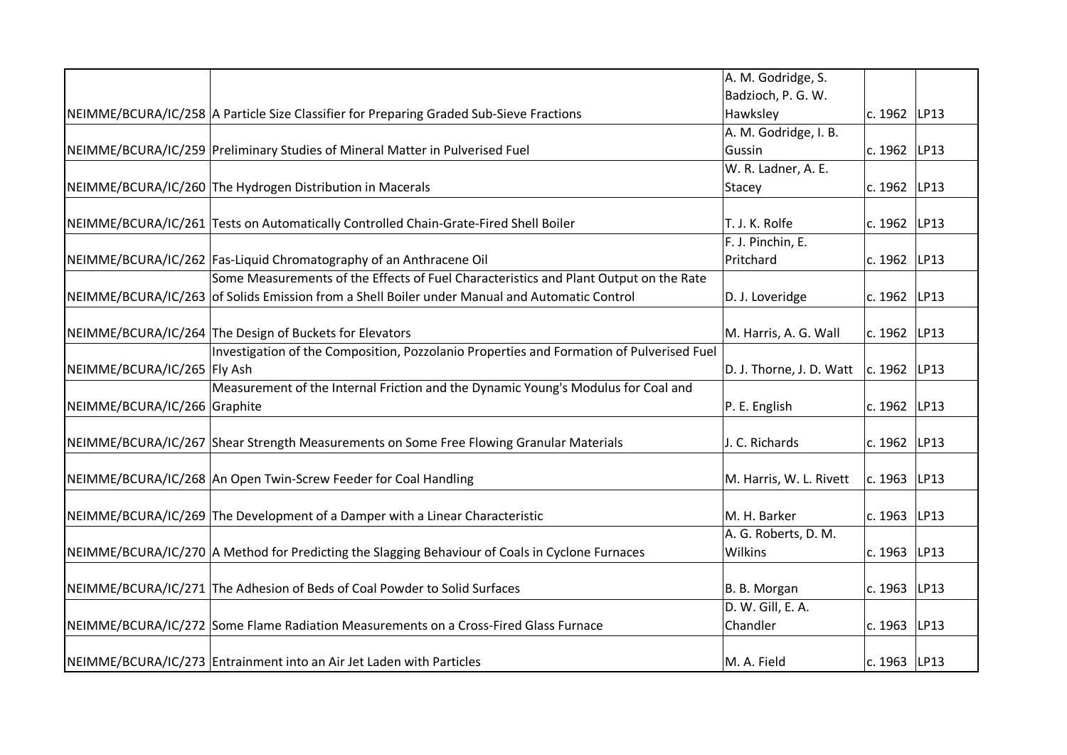|                                                                                                 | A. M. Godridge, S.                   |                  |      |
|-------------------------------------------------------------------------------------------------|--------------------------------------|------------------|------|
|                                                                                                 | Badzioch, P. G. W.                   |                  |      |
| NEIMME/BCURA/IC/258 A Particle Size Classifier for Preparing Graded Sub-Sieve Fractions         | Hawksley                             | c. 1962 LP13     |      |
|                                                                                                 | A. M. Godridge, I. B.                |                  |      |
| NEIMME/BCURA/IC/259 Preliminary Studies of Mineral Matter in Pulverised Fuel                    | Gussin                               | c. 1962          | LP13 |
|                                                                                                 | W. R. Ladner, A. E.                  |                  |      |
| NEIMME/BCURA/IC/260 The Hydrogen Distribution in Macerals                                       | Stacey                               | c. 1962          | LP13 |
|                                                                                                 |                                      |                  |      |
| NEIMME/BCURA/IC/261 Tests on Automatically Controlled Chain-Grate-Fired Shell Boiler            | T. J. K. Rolfe                       | c. 1962 LP13     |      |
|                                                                                                 | F. J. Pinchin, E.                    |                  |      |
| NEIMME/BCURA/IC/262 Fas-Liquid Chromatography of an Anthracene Oil                              | Pritchard                            | c. 1962          | LP13 |
| Some Measurements of the Effects of Fuel Characteristics and Plant Output on the Rate           |                                      |                  |      |
| NEIMME/BCURA/IC/263 of Solids Emission from a Shell Boiler under Manual and Automatic Control   | D. J. Loveridge                      | c. 1962   LP13   |      |
|                                                                                                 |                                      |                  |      |
| NEIMME/BCURA/IC/264 The Design of Buckets for Elevators                                         | M. Harris, A. G. Wall                | c. 1962          | LP13 |
| Investigation of the Composition, Pozzolanio Properties and Formation of Pulverised Fuel        |                                      |                  |      |
| NEIMME/BCURA/IC/265 Fly Ash                                                                     | D. J. Thorne, J. D. Watt             | c. 1962 LP13     |      |
| Measurement of the Internal Friction and the Dynamic Young's Modulus for Coal and               |                                      |                  |      |
| NEIMME/BCURA/IC/266 Graphite                                                                    | P. E. English                        | c. 1962          | LP13 |
| NEIMME/BCURA/IC/267 Shear Strength Measurements on Some Free Flowing Granular Materials         | J. C. Richards                       | c. 1962          | LP13 |
|                                                                                                 |                                      |                  |      |
| NEIMME/BCURA/IC/268 An Open Twin-Screw Feeder for Coal Handling                                 | M. Harris, W. L. Rivett              | $ c. 1963 $ LP13 |      |
|                                                                                                 |                                      |                  |      |
| NEIMME/BCURA/IC/269 The Development of a Damper with a Linear Characteristic                    | M. H. Barker<br>A. G. Roberts, D. M. | c. 1963   LP13   |      |
|                                                                                                 |                                      |                  |      |
| NEIMME/BCURA/IC/270 A Method for Predicting the Slagging Behaviour of Coals in Cyclone Furnaces | Wilkins                              | c. 1963          | LP13 |
| NEIMME/BCURA/IC/271 The Adhesion of Beds of Coal Powder to Solid Surfaces                       | B. B. Morgan                         | c. 1963          | LP13 |
|                                                                                                 | D. W. Gill, E. A.                    |                  |      |
| NEIMME/BCURA/IC/272 Some Flame Radiation Measurements on a Cross-Fired Glass Furnace            | Chandler                             | c. 1963          | LP13 |
|                                                                                                 |                                      |                  |      |
| NEIMME/BCURA/IC/273 Entrainment into an Air Jet Laden with Particles                            | M. A. Field                          | c. 1963 LP13     |      |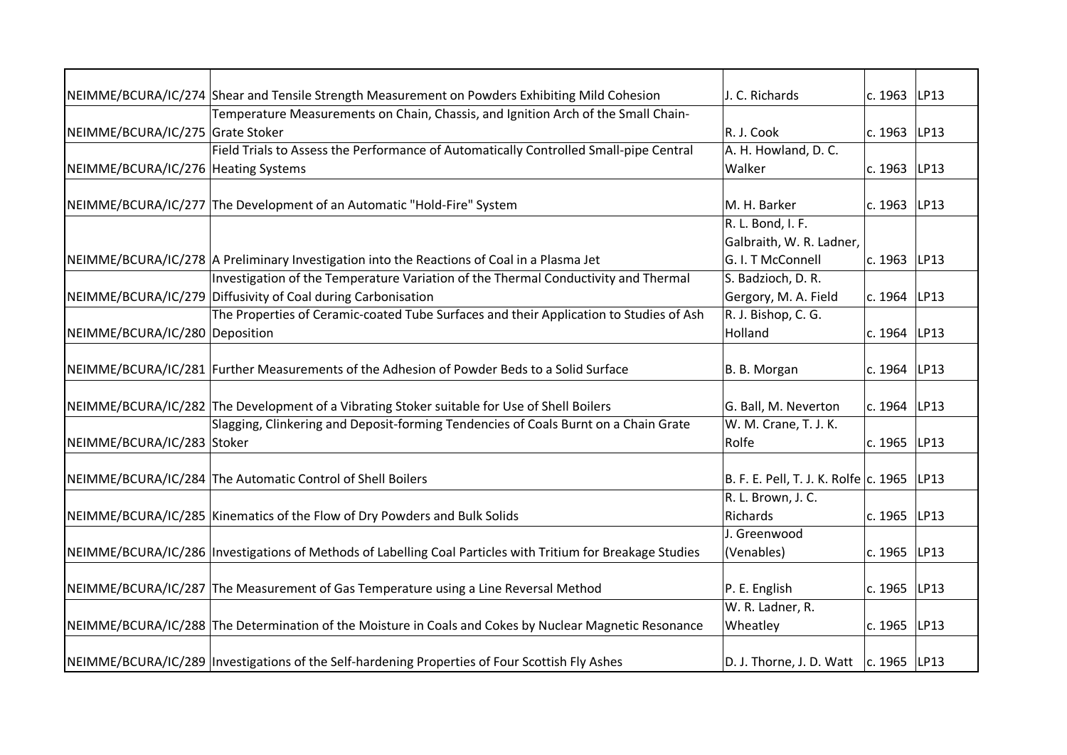|                                     | NEIMME/BCURA/IC/274 Shear and Tensile Strength Measurement on Powders Exhibiting Mild Cohesion               | J. C. Richards                               | c. 1963 LP13   |      |
|-------------------------------------|--------------------------------------------------------------------------------------------------------------|----------------------------------------------|----------------|------|
|                                     | Temperature Measurements on Chain, Chassis, and Ignition Arch of the Small Chain-                            |                                              |                |      |
| NEIMME/BCURA/IC/275 Grate Stoker    |                                                                                                              | R. J. Cook                                   | c. 1963 LP13   |      |
|                                     | Field Trials to Assess the Performance of Automatically Controlled Small-pipe Central                        | A. H. Howland, D. C.                         |                |      |
| NEIMME/BCURA/IC/276 Heating Systems |                                                                                                              | Walker                                       | c. 1963        | LP13 |
|                                     |                                                                                                              |                                              |                |      |
|                                     | NEIMME/BCURA/IC/277 The Development of an Automatic "Hold-Fire" System                                       | M. H. Barker                                 | c. 1963   LP13 |      |
|                                     |                                                                                                              | R. L. Bond, I. F.                            |                |      |
|                                     |                                                                                                              | Galbraith, W. R. Ladner,                     |                |      |
|                                     | NEIMME/BCURA/IC/278 A Preliminary Investigation into the Reactions of Coal in a Plasma Jet                   | G. I. T McConnell                            | c. 1963        | LP13 |
|                                     | Investigation of the Temperature Variation of the Thermal Conductivity and Thermal                           | S. Badzioch, D. R.                           |                |      |
|                                     | NEIMME/BCURA/IC/279 Diffusivity of Coal during Carbonisation                                                 | Gergory, M. A. Field                         | c. 1964        | LP13 |
|                                     | The Properties of Ceramic-coated Tube Surfaces and their Application to Studies of Ash                       | R. J. Bishop, C. G.                          |                |      |
| NEIMME/BCURA/IC/280 Deposition      |                                                                                                              | Holland                                      | c. 1964        | LP13 |
|                                     |                                                                                                              |                                              |                |      |
|                                     | NEIMME/BCURA/IC/281 Further Measurements of the Adhesion of Powder Beds to a Solid Surface                   | B. B. Morgan                                 | c. 1964   LP13 |      |
|                                     |                                                                                                              |                                              |                |      |
|                                     | NEIMME/BCURA/IC/282 The Development of a Vibrating Stoker suitable for Use of Shell Boilers                  | G. Ball, M. Neverton                         | c. 1964        | LP13 |
|                                     | Slagging, Clinkering and Deposit-forming Tendencies of Coals Burnt on a Chain Grate                          | W. M. Crane, T. J. K.                        |                |      |
| NEIMME/BCURA/IC/283 Stoker          |                                                                                                              | Rolfe                                        | c. 1965 LP13   |      |
|                                     |                                                                                                              |                                              |                |      |
|                                     | NEIMME/BCURA/IC/284 The Automatic Control of Shell Boilers                                                   | B. F. E. Pell, T. J. K. Rolfe c. 1965   LP13 |                |      |
|                                     |                                                                                                              | R. L. Brown, J. C.                           |                |      |
|                                     | NEIMME/BCURA/IC/285 Kinematics of the Flow of Dry Powders and Bulk Solids                                    | Richards                                     | c. 1965 LP13   |      |
|                                     |                                                                                                              | J. Greenwood                                 |                |      |
|                                     | NEIMME/BCURA/IC/286  Investigations of Methods of Labelling Coal Particles with Tritium for Breakage Studies | (Venables)                                   | c. 1965        | LP13 |
|                                     |                                                                                                              |                                              |                |      |
|                                     | NEIMME/BCURA/IC/287 The Measurement of Gas Temperature using a Line Reversal Method                          | P. E. English                                | c. 1965 LP13   |      |
|                                     |                                                                                                              | W. R. Ladner, R.                             |                |      |
|                                     | NEIMME/BCURA/IC/288 The Determination of the Moisture in Coals and Cokes by Nuclear Magnetic Resonance       | Wheatley                                     | c. 1965 LP13   |      |
|                                     |                                                                                                              |                                              |                |      |
|                                     | NEIMME/BCURA/IC/289   Investigations of the Self-hardening Properties of Four Scottish Fly Ashes             | D. J. Thorne, J. D. Watt   c. 1965   LP13    |                |      |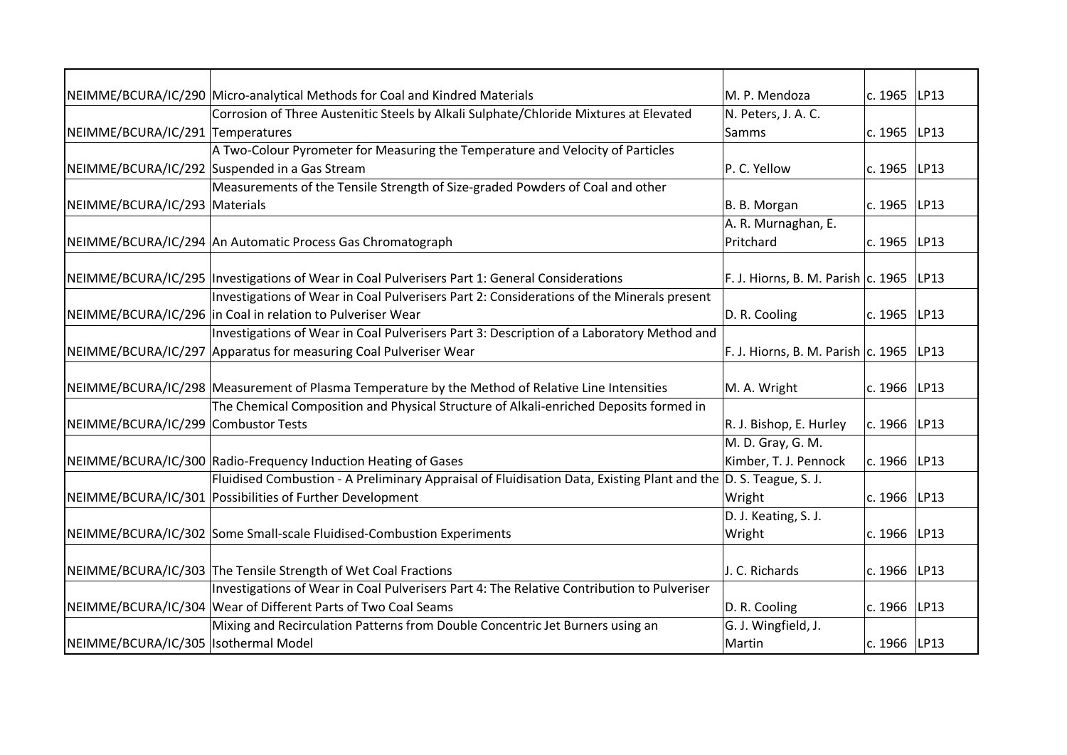|                                       | NEIMME/BCURA/IC/290 Micro-analytical Methods for Coal and Kindred Materials                                     | M. P. Mendoza                               | c. 1965 LP13   |      |
|---------------------------------------|-----------------------------------------------------------------------------------------------------------------|---------------------------------------------|----------------|------|
|                                       | Corrosion of Three Austenitic Steels by Alkali Sulphate/Chloride Mixtures at Elevated                           | N. Peters, J. A. C.                         |                |      |
| NEIMME/BCURA/IC/291 Temperatures      |                                                                                                                 | Samms                                       | c. 1965 LP13   |      |
|                                       | A Two-Colour Pyrometer for Measuring the Temperature and Velocity of Particles                                  |                                             |                |      |
|                                       | NEIMME/BCURA/IC/292 Suspended in a Gas Stream                                                                   | P. C. Yellow                                | c. 1965        | LP13 |
|                                       | Measurements of the Tensile Strength of Size-graded Powders of Coal and other                                   |                                             |                |      |
| NEIMME/BCURA/IC/293 Materials         |                                                                                                                 | B. B. Morgan                                | c. 1965   LP13 |      |
|                                       |                                                                                                                 | A. R. Murnaghan, E.                         |                |      |
|                                       | NEIMME/BCURA/IC/294 An Automatic Process Gas Chromatograph                                                      | Pritchard                                   | c. 1965 LP13   |      |
|                                       |                                                                                                                 |                                             |                |      |
|                                       | NEIMME/BCURA/IC/295   Investigations of Wear in Coal Pulverisers Part 1: General Considerations                 | F. J. Hiorns, B. M. Parish $ c. 1965 $ LP13 |                |      |
|                                       | Investigations of Wear in Coal Pulverisers Part 2: Considerations of the Minerals present                       |                                             |                |      |
|                                       | NEIMME/BCURA/IC/296 in Coal in relation to Pulveriser Wear                                                      | D. R. Cooling                               | c. 1965   LP13 |      |
|                                       | Investigations of Wear in Coal Pulverisers Part 3: Description of a Laboratory Method and                       |                                             |                |      |
|                                       | NEIMME/BCURA/IC/297 Apparatus for measuring Coal Pulveriser Wear                                                | F. J. Hiorns, B. M. Parish $ c. 1965 $ LP13 |                |      |
|                                       |                                                                                                                 |                                             |                |      |
|                                       | NEIMME/BCURA/IC/298 Measurement of Plasma Temperature by the Method of Relative Line Intensities                | M. A. Wright                                | c. 1966 LP13   |      |
|                                       | The Chemical Composition and Physical Structure of Alkali-enriched Deposits formed in                           |                                             |                |      |
| NEIMME/BCURA/IC/299 Combustor Tests   |                                                                                                                 | R. J. Bishop, E. Hurley                     | c. 1966   LP13 |      |
|                                       |                                                                                                                 | M. D. Gray, G. M.                           |                |      |
|                                       | NEIMME/BCURA/IC/300 Radio-Frequency Induction Heating of Gases                                                  | Kimber, T. J. Pennock                       | c. 1966 LP13   |      |
|                                       | Fluidised Combustion - A Preliminary Appraisal of Fluidisation Data, Existing Plant and the D. S. Teague, S. J. |                                             |                |      |
|                                       | NEIMME/BCURA/IC/301 Possibilities of Further Development                                                        | Wright                                      | c. 1966   LP13 |      |
|                                       |                                                                                                                 | D. J. Keating, S. J.                        |                |      |
|                                       | NEIMME/BCURA/IC/302 Some Small-scale Fluidised-Combustion Experiments                                           | Wright                                      | c. $1966$ LP13 |      |
|                                       |                                                                                                                 |                                             |                |      |
|                                       | NEIMME/BCURA/IC/303 The Tensile Strength of Wet Coal Fractions                                                  | J. C. Richards                              | c. 1966 LP13   |      |
|                                       | Investigations of Wear in Coal Pulverisers Part 4: The Relative Contribution to Pulveriser                      |                                             |                |      |
|                                       | NEIMME/BCURA/IC/304 Wear of Different Parts of Two Coal Seams                                                   | D. R. Cooling                               | c. 1966   LP13 |      |
|                                       | Mixing and Recirculation Patterns from Double Concentric Jet Burners using an                                   | G. J. Wingfield, J.                         |                |      |
| NEIMME/BCURA/IC/305  Isothermal Model |                                                                                                                 | Martin                                      | c. 1966 LP13   |      |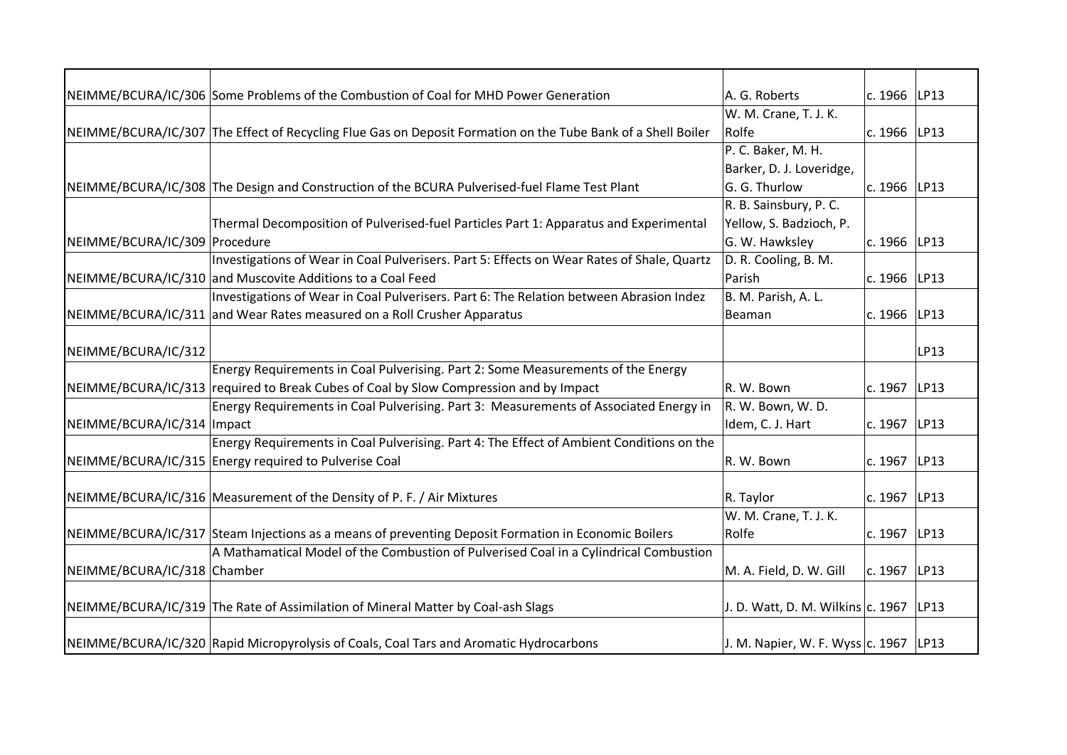|                               | NEIMME/BCURA/IC/306 Some Problems of the Combustion of Coal for MHD Power Generation                         | A. G. Roberts                           | c. 1966 LP13     |      |
|-------------------------------|--------------------------------------------------------------------------------------------------------------|-----------------------------------------|------------------|------|
|                               |                                                                                                              | W. M. Crane, T. J. K.                   |                  |      |
|                               | NEIMME/BCURA/IC/307 The Effect of Recycling Flue Gas on Deposit Formation on the Tube Bank of a Shell Boiler | Rolfe                                   | c. 1966 $ LP13 $ |      |
|                               |                                                                                                              | P. C. Baker, M. H.                      |                  |      |
|                               |                                                                                                              | Barker, D. J. Loveridge,                |                  |      |
|                               | NEIMME/BCURA/IC/308 The Design and Construction of the BCURA Pulverised-fuel Flame Test Plant                | G. G. Thurlow                           | c. 1966   LP13   |      |
|                               |                                                                                                              | R. B. Sainsbury, P. C.                  |                  |      |
|                               | Thermal Decomposition of Pulverised-fuel Particles Part 1: Apparatus and Experimental                        | Yellow, S. Badzioch, P.                 |                  |      |
| NEIMME/BCURA/IC/309 Procedure |                                                                                                              | G. W. Hawksley                          | c. 1966 LP13     |      |
|                               | Investigations of Wear in Coal Pulverisers. Part 5: Effects on Wear Rates of Shale, Quartz                   | D. R. Cooling, B. M.                    |                  |      |
|                               | NEIMME/BCURA/IC/310 and Muscovite Additions to a Coal Feed                                                   | Parish                                  | c. 1966          | LP13 |
|                               | Investigations of Wear in Coal Pulverisers. Part 6: The Relation between Abrasion Indez                      | B. M. Parish, A. L.                     |                  |      |
|                               | NEIMME/BCURA/IC/311 and Wear Rates measured on a Roll Crusher Apparatus                                      | Beaman                                  | c. 1966          | LP13 |
|                               |                                                                                                              |                                         |                  |      |
| NEIMME/BCURA/IC/312           |                                                                                                              |                                         |                  | LP13 |
|                               | Energy Requirements in Coal Pulverising. Part 2: Some Measurements of the Energy                             |                                         |                  |      |
|                               | NEIMME/BCURA/IC/313 required to Break Cubes of Coal by Slow Compression and by Impact                        | R. W. Bown                              | c. 1967          | LP13 |
|                               | Energy Requirements in Coal Pulverising. Part 3: Measurements of Associated Energy in                        | R. W. Bown, W. D.                       |                  |      |
| NEIMME/BCURA/IC/314 Impact    |                                                                                                              | Idem, C. J. Hart                        | c. 1967          | LP13 |
|                               | Energy Requirements in Coal Pulverising. Part 4: The Effect of Ambient Conditions on the                     |                                         |                  |      |
|                               | NEIMME/BCURA/IC/315 Energy required to Pulverise Coal                                                        | R. W. Bown                              | c. 1967          | LP13 |
|                               |                                                                                                              |                                         |                  |      |
|                               | NEIMME/BCURA/IC/316 Measurement of the Density of P. F. / Air Mixtures                                       | R. Taylor                               | c. 1967   LP13   |      |
|                               |                                                                                                              | W. M. Crane, T. J. K.                   |                  |      |
|                               | NEIMME/BCURA/IC/317 Steam Injections as a means of preventing Deposit Formation in Economic Boilers          | Rolfe                                   | c. 1967          | LP13 |
|                               | A Mathamatical Model of the Combustion of Pulverised Coal in a Cylindrical Combustion                        |                                         |                  |      |
| NEIMME/BCURA/IC/318 Chamber   |                                                                                                              | M. A. Field, D. W. Gill                 | c. 1967          | LP13 |
|                               | NEIMME/BCURA/IC/319 The Rate of Assimilation of Mineral Matter by Coal-ash Slags                             | J. D. Watt, D. M. Wilkins $c$ . 1967    |                  | LP13 |
|                               |                                                                                                              |                                         |                  |      |
|                               | NEIMME/BCURA/IC/320 Rapid Micropyrolysis of Coals, Coal Tars and Aromatic Hydrocarbons                       | J. M. Napier, W. F. Wyss c. 1967   LP13 |                  |      |
|                               |                                                                                                              |                                         |                  |      |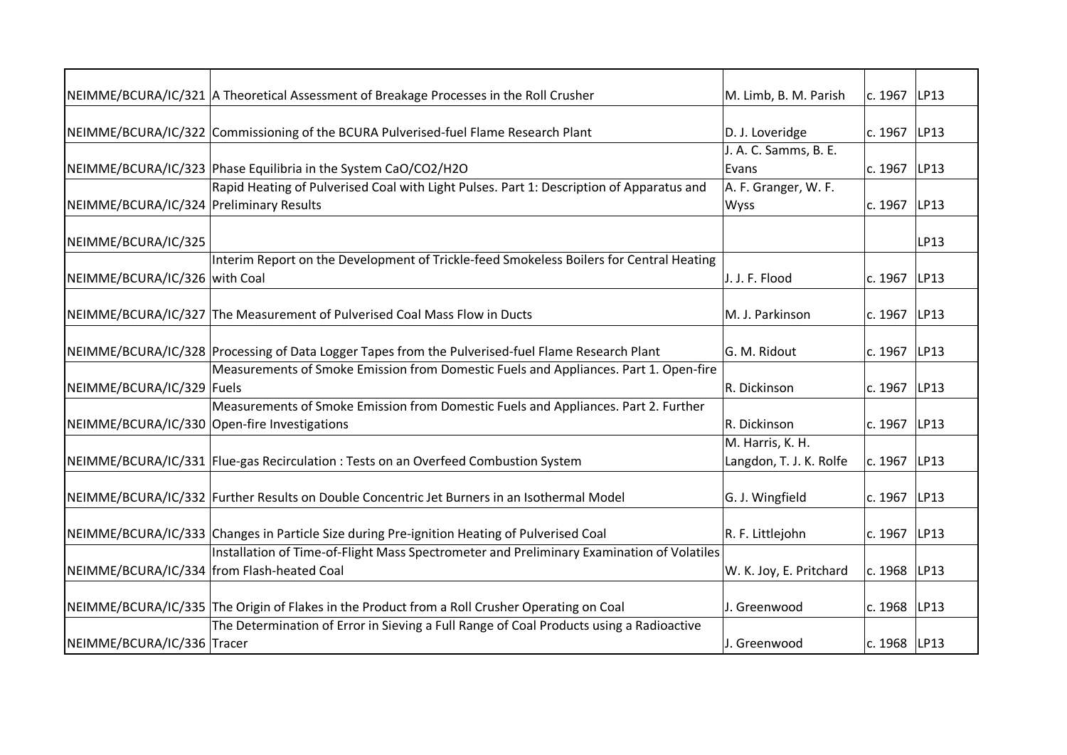|                                              | NEIMME/BCURA/IC/321 A Theoretical Assessment of Breakage Processes in the Roll Crusher            | M. Limb, B. M. Parish   | c. 1967 LP13   |      |
|----------------------------------------------|---------------------------------------------------------------------------------------------------|-------------------------|----------------|------|
|                                              |                                                                                                   |                         |                |      |
|                                              | NEIMME/BCURA/IC/322 Commissioning of the BCURA Pulverised-fuel Flame Research Plant               | D. J. Loveridge         | c. 1967        | LP13 |
|                                              |                                                                                                   | J. A. C. Samms, B. E.   |                |      |
|                                              | NEIMME/BCURA/IC/323 Phase Equilibria in the System CaO/CO2/H2O                                    | Evans                   | c. 1967        | LP13 |
|                                              | Rapid Heating of Pulverised Coal with Light Pulses. Part 1: Description of Apparatus and          | A. F. Granger, W. F.    |                |      |
| NEIMME/BCURA/IC/324 Preliminary Results      |                                                                                                   | Wyss                    | c. 1967 LP13   |      |
| NEIMME/BCURA/IC/325                          |                                                                                                   |                         |                | LP13 |
|                                              | Interim Report on the Development of Trickle-feed Smokeless Boilers for Central Heating           |                         |                |      |
| NEIMME/BCURA/IC/326 with Coal                |                                                                                                   | J. J. F. Flood          | c. 1967        | LP13 |
|                                              |                                                                                                   |                         |                |      |
|                                              |                                                                                                   |                         |                |      |
|                                              | NEIMME/BCURA/IC/327 The Measurement of Pulverised Coal Mass Flow in Ducts                         | M. J. Parkinson         | c. 1967 LP13   |      |
|                                              | NEIMME/BCURA/IC/328 Processing of Data Logger Tapes from the Pulverised-fuel Flame Research Plant | G. M. Ridout            | c. 1967        | LP13 |
|                                              | Measurements of Smoke Emission from Domestic Fuels and Appliances. Part 1. Open-fire              |                         |                |      |
|                                              |                                                                                                   |                         |                |      |
| NEIMME/BCURA/IC/329 Fuels                    |                                                                                                   | R. Dickinson            | c. 1967        | LP13 |
|                                              | Measurements of Smoke Emission from Domestic Fuels and Appliances. Part 2. Further                |                         |                |      |
| NEIMME/BCURA/IC/330 Open-fire Investigations |                                                                                                   | R. Dickinson            | c. 1967 LP13   |      |
|                                              |                                                                                                   | M. Harris, K. H.        |                |      |
|                                              | NEIMME/BCURA/IC/331   Flue-gas Recirculation : Tests on an Overfeed Combustion System             | Langdon, T. J. K. Rolfe | c. 1967        | LP13 |
|                                              | NEIMME/BCURA/IC/332 Further Results on Double Concentric Jet Burners in an Isothermal Model       | G. J. Wingfield         | c. 1967        | LP13 |
|                                              |                                                                                                   |                         |                |      |
|                                              | NEIMME/BCURA/IC/333 Changes in Particle Size during Pre-ignition Heating of Pulverised Coal       | R. F. Littlejohn        | c. 1967 LP13   |      |
|                                              | Installation of Time-of-Flight Mass Spectrometer and Preliminary Examination of Volatiles         |                         |                |      |
| NEIMME/BCURA/IC/334 from Flash-heated Coal   |                                                                                                   | W. K. Joy, E. Pritchard | c. 1968   LP13 |      |
|                                              |                                                                                                   |                         |                |      |
|                                              | NEIMME/BCURA/IC/335 The Origin of Flakes in the Product from a Roll Crusher Operating on Coal     | J. Greenwood            | c. 1968 LP13   |      |
|                                              | The Determination of Error in Sieving a Full Range of Coal Products using a Radioactive           |                         |                |      |
| NEIMME/BCURA/IC/336 Tracer                   |                                                                                                   | J. Greenwood            | c. 1968 LP13   |      |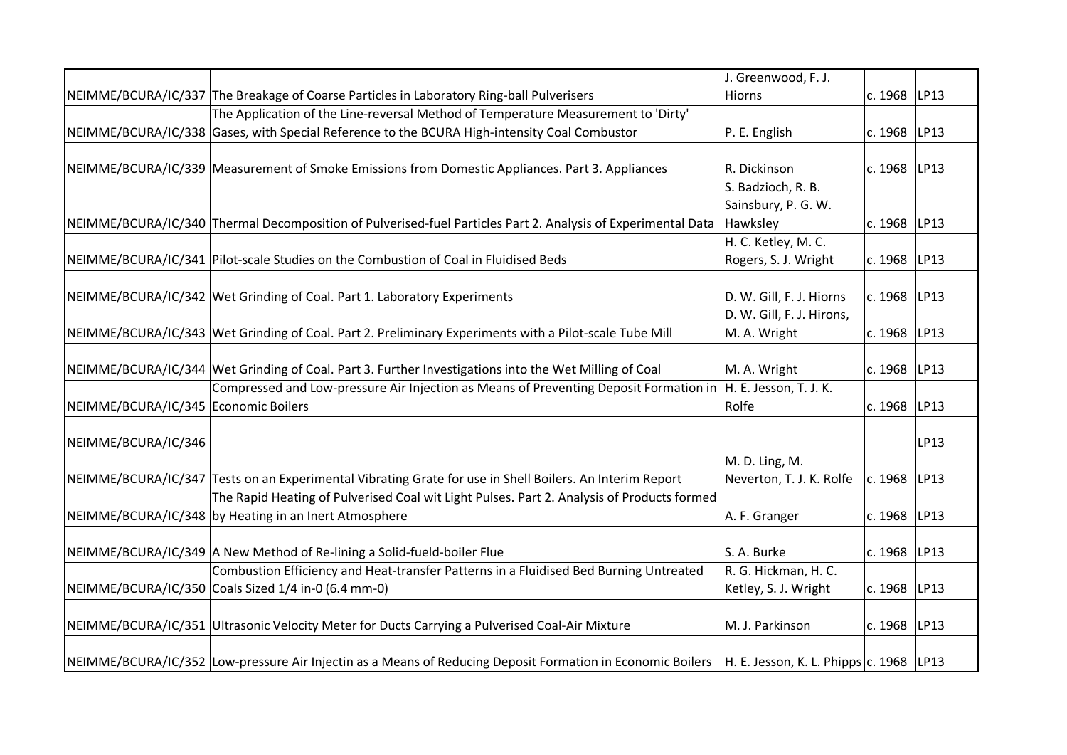|                                      |                                                                                                                                                    | J. Greenwood, F. J.       |                |      |
|--------------------------------------|----------------------------------------------------------------------------------------------------------------------------------------------------|---------------------------|----------------|------|
|                                      | NEIMME/BCURA/IC/337 The Breakage of Coarse Particles in Laboratory Ring-ball Pulverisers                                                           | Hiorns                    | c. 1968        | LP13 |
|                                      | The Application of the Line-reversal Method of Temperature Measurement to 'Dirty'                                                                  |                           |                |      |
|                                      | NEIMME/BCURA/IC/338 Gases, with Special Reference to the BCURA High-intensity Coal Combustor                                                       | P. E. English             | c. 1968        | LP13 |
|                                      |                                                                                                                                                    |                           |                |      |
|                                      | NEIMME/BCURA/IC/339 Measurement of Smoke Emissions from Domestic Appliances. Part 3. Appliances                                                    | R. Dickinson              | c. 1968        | LP13 |
|                                      |                                                                                                                                                    | S. Badzioch, R. B.        |                |      |
|                                      |                                                                                                                                                    | Sainsbury, P. G. W.       |                |      |
|                                      | NEIMME/BCURA/IC/340 Thermal Decomposition of Pulverised-fuel Particles Part 2. Analysis of Experimental Data                                       | Hawksley                  | c. 1968        | LP13 |
|                                      |                                                                                                                                                    | H. C. Ketley, M. C.       |                |      |
|                                      | NEIMME/BCURA/IC/341 Pilot-scale Studies on the Combustion of Coal in Fluidised Beds                                                                | Rogers, S. J. Wright      | c. 1968        | LP13 |
|                                      |                                                                                                                                                    |                           |                |      |
|                                      | NEIMME/BCURA/IC/342 Wet Grinding of Coal. Part 1. Laboratory Experiments                                                                           | D. W. Gill, F. J. Hiorns  | c. 1968        | LP13 |
|                                      |                                                                                                                                                    | D. W. Gill, F. J. Hirons, |                |      |
|                                      | NEIMME/BCURA/IC/343 Wet Grinding of Coal. Part 2. Preliminary Experiments with a Pilot-scale Tube Mill                                             | M. A. Wright              | c. 1968        | LP13 |
|                                      |                                                                                                                                                    |                           |                |      |
|                                      | NEIMME/BCURA/IC/344 Wet Grinding of Coal. Part 3. Further Investigations into the Wet Milling of Coal                                              | M. A. Wright              | c. 1968        | LP13 |
|                                      | Compressed and Low-pressure Air Injection as Means of Preventing Deposit Formation in                                                              | H. E. Jesson, T. J. K.    |                |      |
| NEIMME/BCURA/IC/345 Economic Boilers |                                                                                                                                                    | Rolfe                     | c. 1968        | LP13 |
| NEIMME/BCURA/IC/346                  |                                                                                                                                                    |                           |                | LP13 |
|                                      |                                                                                                                                                    | M. D. Ling, M.            |                |      |
|                                      | NEIMME/BCURA/IC/347 Tests on an Experimental Vibrating Grate for use in Shell Boilers. An Interim Report                                           | Neverton, T. J. K. Rolfe  | c. 1968        | LP13 |
|                                      | The Rapid Heating of Pulverised Coal wit Light Pulses. Part 2. Analysis of Products formed                                                         |                           |                |      |
|                                      | NEIMME/BCURA/IC/348 by Heating in an Inert Atmosphere                                                                                              | A. F. Granger             | c. 1968   LP13 |      |
|                                      |                                                                                                                                                    |                           |                |      |
|                                      | NEIMME/BCURA/IC/349 A New Method of Re-lining a Solid-fueld-boiler Flue                                                                            | S. A. Burke               | c. 1968        | LP13 |
|                                      | Combustion Efficiency and Heat-transfer Patterns in a Fluidised Bed Burning Untreated                                                              | R. G. Hickman, H. C.      |                |      |
|                                      | NEIMME/BCURA/IC/350 Coals Sized 1/4 in-0 (6.4 mm-0)                                                                                                | Ketley, S. J. Wright      | c. 1968        | LP13 |
|                                      |                                                                                                                                                    |                           |                |      |
|                                      | NEIMME/BCURA/IC/351 Ultrasonic Velocity Meter for Ducts Carrying a Pulverised Coal-Air Mixture                                                     | M. J. Parkinson           | c. 1968   LP13 |      |
|                                      |                                                                                                                                                    |                           |                |      |
|                                      | NEIMME/BCURA/IC/352 Low-pressure Air Injectin as a Means of Reducing Deposit Formation in Economic Boilers H. E. Jesson, K. L. Phipps c. 1968 LP13 |                           |                |      |